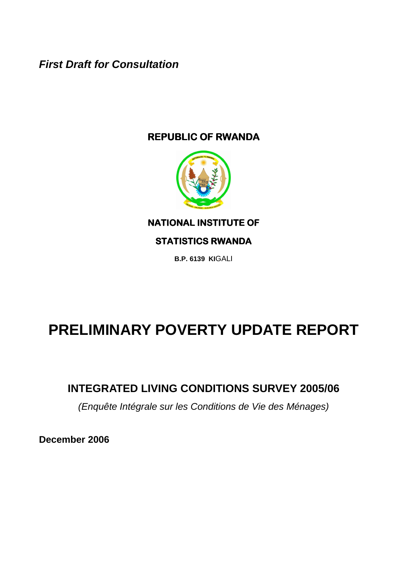**First Draft for Consultation** 

# **REPUBLIC OF RWANDA**



**NATIONAL INSTITUTE OF** 

## **STATISTICS RWANDA**

**B.P. 6139 KI**GALI

# **PRELIMINARY POVERTY UPDATE REPORT**

# **INTEGRATED LIVING CONDITIONS SURVEY 2005/06**

(Enquête Intégrale sur les Conditions de Vie des Ménages)

**December 2006**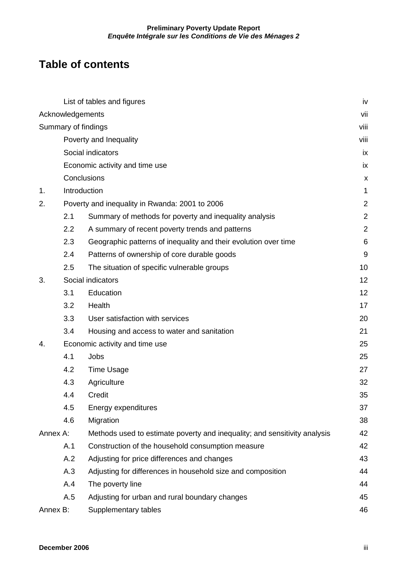# **Table of contents**

|          |                             | List of tables and figures                                                | iv             |  |  |  |  |  |
|----------|-----------------------------|---------------------------------------------------------------------------|----------------|--|--|--|--|--|
|          | Acknowledgements            |                                                                           | vii            |  |  |  |  |  |
|          | Summary of findings<br>viii |                                                                           |                |  |  |  |  |  |
|          |                             | Poverty and Inequality                                                    | viii           |  |  |  |  |  |
|          |                             | Social indicators                                                         | iх             |  |  |  |  |  |
|          |                             | Economic activity and time use                                            | ix             |  |  |  |  |  |
|          | Conclusions                 |                                                                           | X              |  |  |  |  |  |
| 1.       | Introduction                |                                                                           | 1              |  |  |  |  |  |
| 2.       |                             | Poverty and inequality in Rwanda: 2001 to 2006                            | $\overline{2}$ |  |  |  |  |  |
|          | 2.1                         | Summary of methods for poverty and inequality analysis                    | $\overline{2}$ |  |  |  |  |  |
|          | 2.2                         | A summary of recent poverty trends and patterns                           | $\overline{2}$ |  |  |  |  |  |
|          | 2.3                         | Geographic patterns of inequality and their evolution over time           | 6              |  |  |  |  |  |
|          | 2.4                         | Patterns of ownership of core durable goods                               | 9              |  |  |  |  |  |
|          | 2.5                         | The situation of specific vulnerable groups                               | 10             |  |  |  |  |  |
| 3.       |                             | Social indicators                                                         | 12             |  |  |  |  |  |
|          | 3.1                         | Education                                                                 | 12             |  |  |  |  |  |
|          | 3.2                         | Health                                                                    | 17             |  |  |  |  |  |
|          | 3.3                         | User satisfaction with services                                           | 20             |  |  |  |  |  |
|          | 3.4                         | Housing and access to water and sanitation                                | 21             |  |  |  |  |  |
| 4.       |                             | Economic activity and time use                                            | 25             |  |  |  |  |  |
|          | 4.1                         | Jobs                                                                      | 25             |  |  |  |  |  |
|          | 4.2                         | <b>Time Usage</b>                                                         | 27             |  |  |  |  |  |
|          | 4.3                         | Agriculture                                                               | 32             |  |  |  |  |  |
|          | 4.4                         | Credit                                                                    | 35             |  |  |  |  |  |
|          | 4.5                         | Energy expenditures                                                       | 37             |  |  |  |  |  |
|          | 4.6                         | Migration                                                                 | 38             |  |  |  |  |  |
| Annex A: |                             | Methods used to estimate poverty and inequality; and sensitivity analysis | 42             |  |  |  |  |  |
|          | A.1                         | Construction of the household consumption measure                         | 42             |  |  |  |  |  |
|          | A.2                         | Adjusting for price differences and changes                               | 43             |  |  |  |  |  |
|          | A.3                         | Adjusting for differences in household size and composition               | 44             |  |  |  |  |  |
|          | A.4                         | The poverty line                                                          | 44             |  |  |  |  |  |
|          | A.5                         | Adjusting for urban and rural boundary changes                            | 45             |  |  |  |  |  |
| Annex B: |                             | Supplementary tables                                                      | 46             |  |  |  |  |  |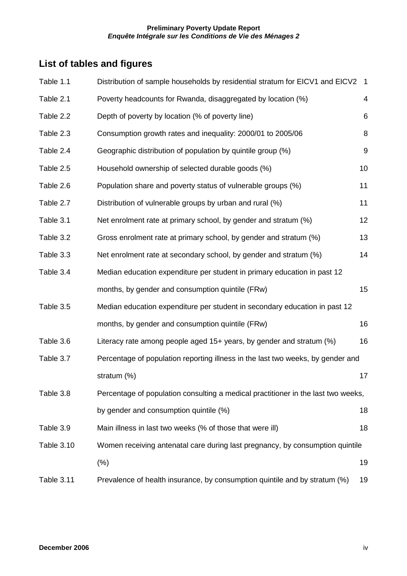# **List of tables and figures**

| Table 1.1         | Distribution of sample households by residential stratum for EICV1 and EICV2      | $\overline{1}$ |
|-------------------|-----------------------------------------------------------------------------------|----------------|
| Table 2.1         | Poverty headcounts for Rwanda, disaggregated by location (%)                      | 4              |
| Table 2.2         | Depth of poverty by location (% of poverty line)                                  | 6              |
| Table 2.3         | Consumption growth rates and inequality: 2000/01 to 2005/06                       | 8              |
| Table 2.4         | Geographic distribution of population by quintile group (%)                       | 9              |
| Table 2.5         | Household ownership of selected durable goods (%)                                 | 10             |
| Table 2.6         | Population share and poverty status of vulnerable groups (%)                      | 11             |
| Table 2.7         | Distribution of vulnerable groups by urban and rural (%)                          | 11             |
| Table 3.1         | Net enrolment rate at primary school, by gender and stratum (%)                   | 12             |
| Table 3.2         | Gross enrolment rate at primary school, by gender and stratum (%)                 | 13             |
| Table 3.3         | Net enrolment rate at secondary school, by gender and stratum (%)                 | 14             |
| Table 3.4         | Median education expenditure per student in primary education in past 12          |                |
|                   | months, by gender and consumption quintile (FRw)                                  | 15             |
| Table 3.5         | Median education expenditure per student in secondary education in past 12        |                |
|                   | months, by gender and consumption quintile (FRw)                                  | 16             |
| Table 3.6         | Literacy rate among people aged 15+ years, by gender and stratum (%)              | 16             |
| Table 3.7         | Percentage of population reporting illness in the last two weeks, by gender and   |                |
|                   | stratum (%)                                                                       | 17             |
| Table 3.8         | Percentage of population consulting a medical practitioner in the last two weeks, |                |
|                   | by gender and consumption quintile (%)                                            | 18             |
| Table 3.9         | Main illness in last two weeks (% of those that were ill)                         | 18             |
| <b>Table 3.10</b> | Women receiving antenatal care during last pregnancy, by consumption quintile     |                |
|                   | (% )                                                                              | 19             |
| Table 3.11        | Prevalence of health insurance, by consumption quintile and by stratum (%)        | 19             |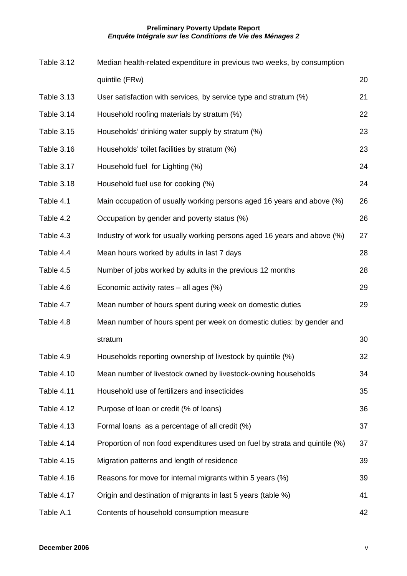| <b>Table 3.12</b> | Median health-related expenditure in previous two weeks, by consumption     |    |
|-------------------|-----------------------------------------------------------------------------|----|
|                   | quintile (FRw)                                                              | 20 |
| Table 3.13        | User satisfaction with services, by service type and stratum (%)            | 21 |
| Table 3.14        | Household roofing materials by stratum (%)                                  | 22 |
| <b>Table 3.15</b> | Households' drinking water supply by stratum (%)                            | 23 |
| <b>Table 3.16</b> | Households' toilet facilities by stratum (%)                                | 23 |
| Table 3.17        | Household fuel for Lighting (%)                                             | 24 |
| Table 3.18        | Household fuel use for cooking (%)                                          | 24 |
| Table 4.1         | Main occupation of usually working persons aged 16 years and above (%)      | 26 |
| Table 4.2         | Occupation by gender and poverty status (%)                                 | 26 |
| Table 4.3         | Industry of work for usually working persons aged 16 years and above (%)    | 27 |
| Table 4.4         | Mean hours worked by adults in last 7 days                                  | 28 |
| Table 4.5         | Number of jobs worked by adults in the previous 12 months                   | 28 |
| Table 4.6         | Economic activity rates $-$ all ages (%)                                    | 29 |
| Table 4.7         | Mean number of hours spent during week on domestic duties                   | 29 |
| Table 4.8         | Mean number of hours spent per week on domestic duties: by gender and       |    |
|                   | stratum                                                                     | 30 |
| Table 4.9         | Households reporting ownership of livestock by quintile (%)                 | 32 |
| Table 4.10        | Mean number of livestock owned by livestock-owning households               | 34 |
| Table 4.11        | Household use of fertilizers and insecticides                               | 35 |
| Table 4.12        | Purpose of loan or credit (% of loans)                                      | 36 |
| <b>Table 4.13</b> | Formal loans as a percentage of all credit (%)                              | 37 |
| Table 4.14        | Proportion of non food expenditures used on fuel by strata and quintile (%) | 37 |
| <b>Table 4.15</b> | Migration patterns and length of residence                                  | 39 |
| Table 4.16        | Reasons for move for internal migrants within 5 years (%)                   | 39 |
| Table 4.17        | Origin and destination of migrants in last 5 years (table %)                | 41 |
| Table A.1         | Contents of household consumption measure                                   | 42 |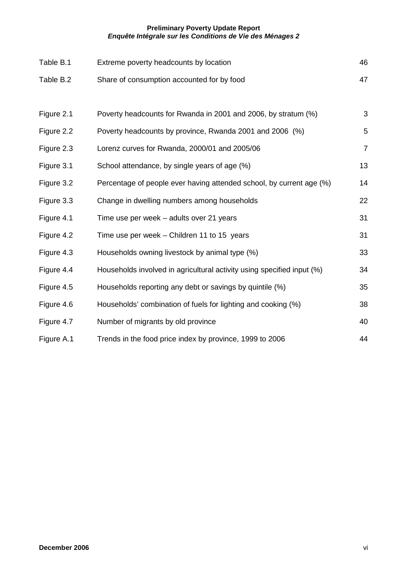| Table B.1  | Extreme poverty headcounts by location                                 | 46             |
|------------|------------------------------------------------------------------------|----------------|
| Table B.2  | Share of consumption accounted for by food                             | 47             |
|            |                                                                        |                |
| Figure 2.1 | Poverty headcounts for Rwanda in 2001 and 2006, by stratum (%)         | 3              |
| Figure 2.2 | Poverty headcounts by province, Rwanda 2001 and 2006 (%)               | 5              |
| Figure 2.3 | Lorenz curves for Rwanda, 2000/01 and 2005/06                          | $\overline{7}$ |
| Figure 3.1 | School attendance, by single years of age (%)                          | 13             |
| Figure 3.2 | Percentage of people ever having attended school, by current age (%)   | 14             |
| Figure 3.3 | Change in dwelling numbers among households                            | 22             |
| Figure 4.1 | Time use per week - adults over 21 years                               | 31             |
| Figure 4.2 | Time use per week – Children 11 to 15 years                            | 31             |
| Figure 4.3 | Households owning livestock by animal type (%)                         | 33             |
| Figure 4.4 | Households involved in agricultural activity using specified input (%) | 34             |
| Figure 4.5 | Households reporting any debt or savings by quintile (%)               | 35             |
| Figure 4.6 | Households' combination of fuels for lighting and cooking (%)          | 38             |
| Figure 4.7 | Number of migrants by old province                                     | 40             |
| Figure A.1 | Trends in the food price index by province, 1999 to 2006               | 44             |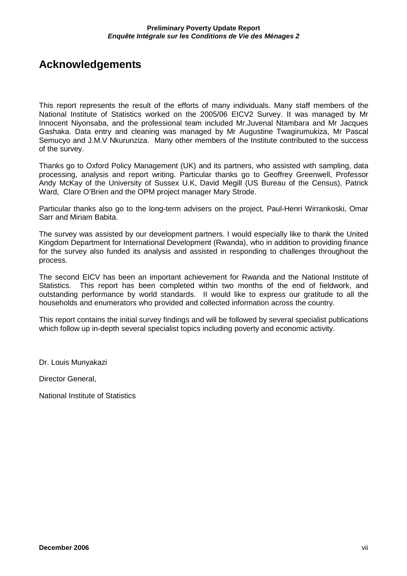# **Acknowledgements**

This report represents the result of the efforts of many individuals. Many staff members of the National Institute of Statistics worked on the 2005/06 EICV2 Survey. It was managed by Mr Innocent Niyonsaba, and the professional team included Mr.Juvenal Ntambara and Mr Jacques Gashaka. Data entry and cleaning was managed by Mr Augustine Twagirumukiza, Mr Pascal Semucyo and J.M.V Nkurunziza. Many other members of the Institute contributed to the success of the survey.

Thanks go to Oxford Policy Management (UK) and its partners, who assisted with sampling, data processing, analysis and report writing. Particular thanks go to Geoffrey Greenwell, Professor Andy McKay of the University of Sussex U.K, David Megill (US Bureau of the Census), Patrick Ward, Clare O'Brien and the OPM project manager Mary Strode.

Particular thanks also go to the long-term advisers on the project, Paul-Henri Wirrankoski, Omar Sarr and Miriam Babita.

The survey was assisted by our development partners. I would especially like to thank the United Kingdom Department for International Development (Rwanda), who in addition to providing finance for the survey also funded its analysis and assisted in responding to challenges throughout the process.

The second EICV has been an important achievement for Rwanda and the National Institute of Statistics. This report has been completed within two months of the end of fieldwork, and outstanding performance by world standards. II would like to express our gratitude to all the households and enumerators who provided and collected information across the country.

This report contains the initial survey findings and will be followed by several specialist publications which follow up in-depth several specialist topics including poverty and economic activity.

Dr. Louis Munyakazi

Director General,

National Institute of Statistics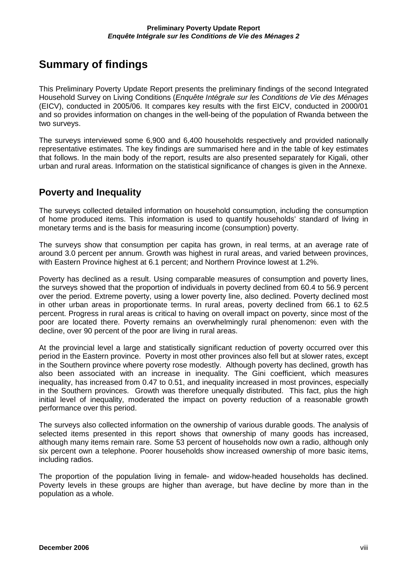# **Summary of findings**

This Preliminary Poverty Update Report presents the preliminary findings of the second Integrated Household Survey on Living Conditions (Enquête Intégrale sur les Conditions de Vie des Ménages (EICV), conducted in 2005/06. It compares key results with the first EICV, conducted in 2000/01 and so provides information on changes in the well-being of the population of Rwanda between the two surveys.

The surveys interviewed some 6,900 and 6,400 households respectively and provided nationally representative estimates. The key findings are summarised here and in the table of key estimates that follows. In the main body of the report, results are also presented separately for Kigali, other urban and rural areas. Information on the statistical significance of changes is given in the Annexe.

## **Poverty and Inequality**

The surveys collected detailed information on household consumption, including the consumption of home produced items. This information is used to quantify households' standard of living in monetary terms and is the basis for measuring income (consumption) poverty.

The surveys show that consumption per capita has grown, in real terms, at an average rate of around 3.0 percent per annum. Growth was highest in rural areas, and varied between provinces, with Eastern Province highest at 6.1 percent; and Northern Province lowest at 1.2%.

Poverty has declined as a result. Using comparable measures of consumption and poverty lines, the surveys showed that the proportion of individuals in poverty declined from 60.4 to 56.9 percent over the period. Extreme poverty, using a lower poverty line, also declined. Poverty declined most in other urban areas in proportionate terms. In rural areas, poverty declined from 66.1 to 62.5 percent. Progress in rural areas is critical to having on overall impact on poverty, since most of the poor are located there. Poverty remains an overwhelmingly rural phenomenon: even with the decline, over 90 percent of the poor are living in rural areas.

At the provincial level a large and statistically significant reduction of poverty occurred over this period in the Eastern province. Poverty in most other provinces also fell but at slower rates, except in the Southern province where poverty rose modestly. Although poverty has declined, growth has also been associated with an increase in inequality. The Gini coefficient, which measures inequality, has increased from 0.47 to 0.51, and inequality increased in most provinces, especially in the Southern provinces. Growth was therefore unequally distributed. This fact, plus the high initial level of inequality, moderated the impact on poverty reduction of a reasonable growth performance over this period.

The surveys also collected information on the ownership of various durable goods. The analysis of selected items presented in this report shows that ownership of many goods has increased, although many items remain rare. Some 53 percent of households now own a radio, although only six percent own a telephone. Poorer households show increased ownership of more basic items, including radios.

The proportion of the population living in female- and widow-headed households has declined. Poverty levels in these groups are higher than average, but have decline by more than in the population as a whole.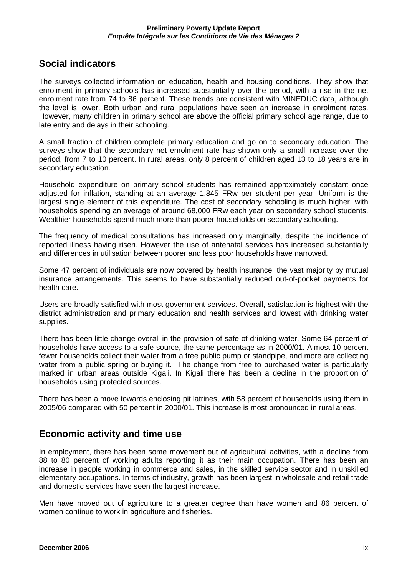### **Social indicators**

The surveys collected information on education, health and housing conditions. They show that enrolment in primary schools has increased substantially over the period, with a rise in the net enrolment rate from 74 to 86 percent. These trends are consistent with MINEDUC data, although the level is lower. Both urban and rural populations have seen an increase in enrolment rates. However, many children in primary school are above the official primary school age range, due to late entry and delays in their schooling.

A small fraction of children complete primary education and go on to secondary education. The surveys show that the secondary net enrolment rate has shown only a small increase over the period, from 7 to 10 percent. In rural areas, only 8 percent of children aged 13 to 18 years are in secondary education.

Household expenditure on primary school students has remained approximately constant once adjusted for inflation, standing at an average 1,845 FRw per student per year. Uniform is the largest single element of this expenditure. The cost of secondary schooling is much higher, with households spending an average of around 68,000 FRw each year on secondary school students. Wealthier households spend much more than poorer households on secondary schooling.

The frequency of medical consultations has increased only marginally, despite the incidence of reported illness having risen. However the use of antenatal services has increased substantially and differences in utilisation between poorer and less poor households have narrowed.

Some 47 percent of individuals are now covered by health insurance, the vast majority by mutual insurance arrangements. This seems to have substantially reduced out-of-pocket payments for health care.

Users are broadly satisfied with most government services. Overall, satisfaction is highest with the district administration and primary education and health services and lowest with drinking water supplies.

There has been little change overall in the provision of safe of drinking water. Some 64 percent of households have access to a safe source, the same percentage as in 2000/01. Almost 10 percent fewer households collect their water from a free public pump or standpipe, and more are collecting water from a public spring or buying it. The change from free to purchased water is particularly marked in urban areas outside Kigali. In Kigali there has been a decline in the proportion of households using protected sources.

There has been a move towards enclosing pit latrines, with 58 percent of households using them in 2005/06 compared with 50 percent in 2000/01. This increase is most pronounced in rural areas.

### **Economic activity and time use**

In employment, there has been some movement out of agricultural activities, with a decline from 88 to 80 percent of working adults reporting it as their main occupation. There has been an increase in people working in commerce and sales, in the skilled service sector and in unskilled elementary occupations. In terms of industry, growth has been largest in wholesale and retail trade and domestic services have seen the largest increase.

Men have moved out of agriculture to a greater degree than have women and 86 percent of women continue to work in agriculture and fisheries.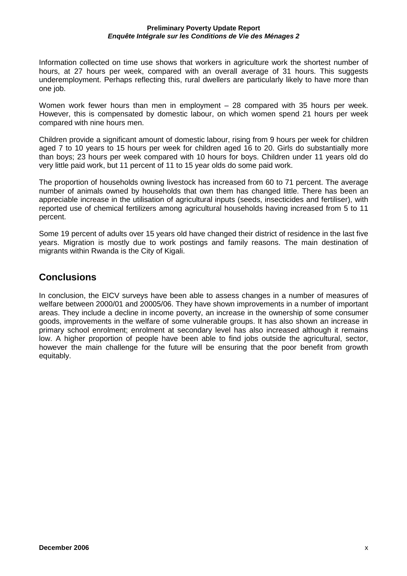Information collected on time use shows that workers in agriculture work the shortest number of hours, at 27 hours per week, compared with an overall average of 31 hours. This suggests underemployment. Perhaps reflecting this, rural dwellers are particularly likely to have more than one job.

Women work fewer hours than men in employment – 28 compared with 35 hours per week. However, this is compensated by domestic labour, on which women spend 21 hours per week compared with nine hours men.

Children provide a significant amount of domestic labour, rising from 9 hours per week for children aged 7 to 10 years to 15 hours per week for children aged 16 to 20. Girls do substantially more than boys; 23 hours per week compared with 10 hours for boys. Children under 11 years old do very little paid work, but 11 percent of 11 to 15 year olds do some paid work.

The proportion of households owning livestock has increased from 60 to 71 percent. The average number of animals owned by households that own them has changed little. There has been an appreciable increase in the utilisation of agricultural inputs (seeds, insecticides and fertiliser), with reported use of chemical fertilizers among agricultural households having increased from 5 to 11 percent.

Some 19 percent of adults over 15 years old have changed their district of residence in the last five years. Migration is mostly due to work postings and family reasons. The main destination of migrants within Rwanda is the City of Kigali.

### **Conclusions**

In conclusion, the EICV surveys have been able to assess changes in a number of measures of welfare between 2000/01 and 20005/06. They have shown improvements in a number of important areas. They include a decline in income poverty, an increase in the ownership of some consumer goods, improvements in the welfare of some vulnerable groups. It has also shown an increase in primary school enrolment; enrolment at secondary level has also increased although it remains low. A higher proportion of people have been able to find jobs outside the agricultural, sector, however the main challenge for the future will be ensuring that the poor benefit from growth equitably.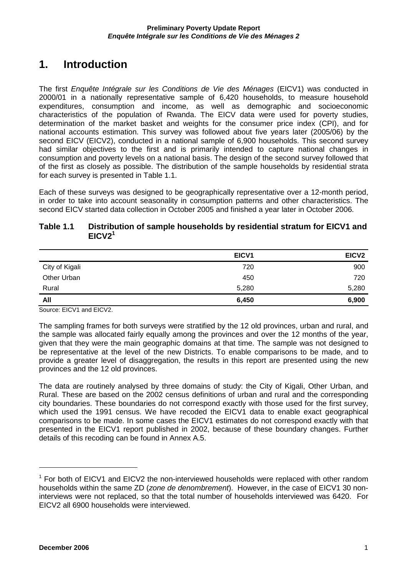# **1. Introduction**

The first Enquête Intégrale sur les Conditions de Vie des Ménages (EICV1) was conducted in 2000/01 in a nationally representative sample of 6,420 households, to measure household expenditures, consumption and income, as well as demographic and socioeconomic characteristics of the population of Rwanda. The EICV data were used for poverty studies, determination of the market basket and weights for the consumer price index (CPI), and for national accounts estimation. This survey was followed about five years later (2005/06) by the second EICV (EICV2), conducted in a national sample of 6,900 households. This second survey had similar objectives to the first and is primarily intended to capture national changes in consumption and poverty levels on a national basis. The design of the second survey followed that of the first as closely as possible. The distribution of the sample households by residential strata for each survey is presented in Table 1.1.

Each of these surveys was designed to be geographically representative over a 12-month period, in order to take into account seasonality in consumption patterns and other characteristics. The second EICV started data collection in October 2005 and finished a year later in October 2006.

#### **Table 1.1 Distribution of sample households by residential stratum for EICV1 and**   $EICV2<sup>1</sup>$

|                | EICV <sub>1</sub> | EICV <sub>2</sub> |
|----------------|-------------------|-------------------|
| City of Kigali | 720               | 900               |
| Other Urban    | 450               | 720               |
| Rural          | 5,280             | 5,280             |
| All            | 6,450             | 6,900             |

Source: EICV1 and EICV2.

The sampling frames for both surveys were stratified by the 12 old provinces, urban and rural, and the sample was allocated fairly equally among the provinces and over the 12 months of the year, given that they were the main geographic domains at that time. The sample was not designed to be representative at the level of the new Districts. To enable comparisons to be made, and to provide a greater level of disaggregation, the results in this report are presented using the new provinces and the 12 old provinces.

The data are routinely analysed by three domains of study: the City of Kigali, Other Urban, and Rural. These are based on the 2002 census definitions of urban and rural and the corresponding city boundaries. These boundaries do not correspond exactly with those used for the first survey, which used the 1991 census. We have recoded the EICV1 data to enable exact geographical comparisons to be made. In some cases the EICV1 estimates do not correspond exactly with that presented in the EICV1 report published in 2002, because of these boundary changes. Further details of this recoding can be found in Annex A.5.

 $1$  For both of EICV1 and EICV2 the non-interviewed households were replaced with other random households within the same ZD (*zone de denombrement*). However, in the case of EICV1 30 noninterviews were not replaced, so that the total number of households interviewed was 6420. For EICV2 all 6900 households were interviewed.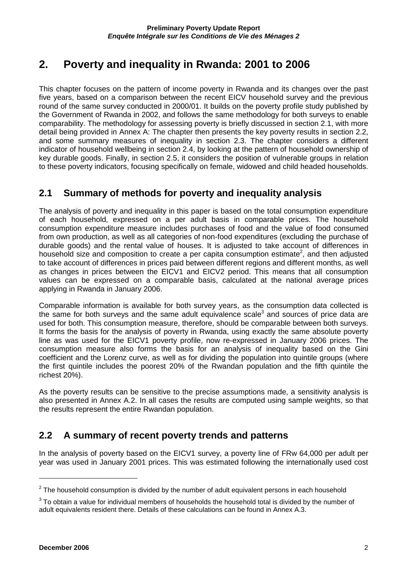# **2. Poverty and inequality in Rwanda: 2001 to 2006**

This chapter focuses on the pattern of income poverty in Rwanda and its changes over the past five years, based on a comparison between the recent EICV household survey and the previous round of the same survey conducted in 2000/01. It builds on the poverty profile study published by the Government of Rwanda in 2002, and follows the same methodology for both surveys to enable comparability. The methodology for assessing poverty is briefly discussed in section 2.1, with more detail being provided in Annex A: The chapter then presents the key poverty results in section 2.2, and some summary measures of inequality in section 2.3. The chapter considers a different indicator of household wellbeing in section 2.4, by looking at the pattern of household ownership of key durable goods. Finally, in section 2.5, it considers the position of vulnerable groups in relation to these poverty indicators, focusing specifically on female, widowed and child headed households.

## **2.1 Summary of methods for poverty and inequality analysis**

The analysis of poverty and inequality in this paper is based on the total consumption expenditure of each household, expressed on a per adult basis in comparable prices. The household consumption expenditure measure includes purchases of food and the value of food consumed from own production, as well as all categories of non-food expenditures (excluding the purchase of durable goods) and the rental value of houses. It is adjusted to take account of differences in household size and composition to create a per capita consumption estimate<sup>2</sup>, and then adjusted to take account of differences in prices paid between different regions and different months, as well as changes in prices between the EICV1 and EICV2 period. This means that all consumption values can be expressed on a comparable basis, calculated at the national average prices applying in Rwanda in January 2006.

Comparable information is available for both survey years, as the consumption data collected is the same for both surveys and the same adult equivalence scale<sup>3</sup> and sources of price data are used for both. This consumption measure, therefore, should be comparable between both surveys. It forms the basis for the analysis of poverty in Rwanda, using exactly the same absolute poverty line as was used for the EICV1 poverty profile, now re-expressed in January 2006 prices. The consumption measure also forms the basis for an analysis of inequality based on the Gini coefficient and the Lorenz curve, as well as for dividing the population into quintile groups (where the first quintile includes the poorest 20% of the Rwandan population and the fifth quintile the richest 20%).

As the poverty results can be sensitive to the precise assumptions made, a sensitivity analysis is also presented in Annex A.2. In all cases the results are computed using sample weights, so that the results represent the entire Rwandan population.

## **2.2 A summary of recent poverty trends and patterns**

In the analysis of poverty based on the EICV1 survey, a poverty line of FRw 64,000 per adult per year was used in January 2001 prices. This was estimated following the internationally used cost

 $2$  The household consumption is divided by the number of adult equivalent persons in each household

 $3$  To obtain a value for individual members of households the household total is divided by the number of adult equivalents resident there. Details of these calculations can be found in Annex A.3.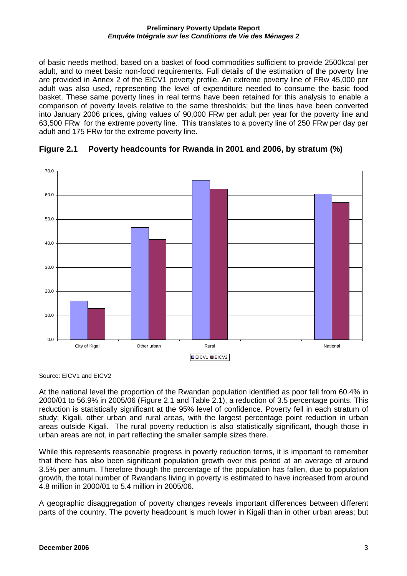of basic needs method, based on a basket of food commodities sufficient to provide 2500kcal per adult, and to meet basic non-food requirements. Full details of the estimation of the poverty line are provided in Annex 2 of the EICV1 poverty profile. An extreme poverty line of FRw 45,000 per adult was also used, representing the level of expenditure needed to consume the basic food basket. These same poverty lines in real terms have been retained for this analysis to enable a comparison of poverty levels relative to the same thresholds; but the lines have been converted into January 2006 prices, giving values of 90,000 FRw per adult per year for the poverty line and 63,500 FRw for the extreme poverty line. This translates to a poverty line of 250 FRw per day per adult and 175 FRw for the extreme poverty line.





Source: EICV1 and EICV2

At the national level the proportion of the Rwandan population identified as poor fell from 60.4% in 2000/01 to 56.9% in 2005/06 (Figure 2.1 and Table 2.1), a reduction of 3.5 percentage points. This reduction is statistically significant at the 95% level of confidence. Poverty fell in each stratum of study; Kigali, other urban and rural areas, with the largest percentage point reduction in urban areas outside Kigali. The rural poverty reduction is also statistically significant, though those in urban areas are not, in part reflecting the smaller sample sizes there.

While this represents reasonable progress in poverty reduction terms, it is important to remember that there has also been significant population growth over this period at an average of around 3.5% per annum. Therefore though the percentage of the population has fallen, due to population growth, the total number of Rwandans living in poverty is estimated to have increased from around 4.8 million in 2000/01 to 5.4 million in 2005/06.

A geographic disaggregation of poverty changes reveals important differences between different parts of the country. The poverty headcount is much lower in Kigali than in other urban areas; but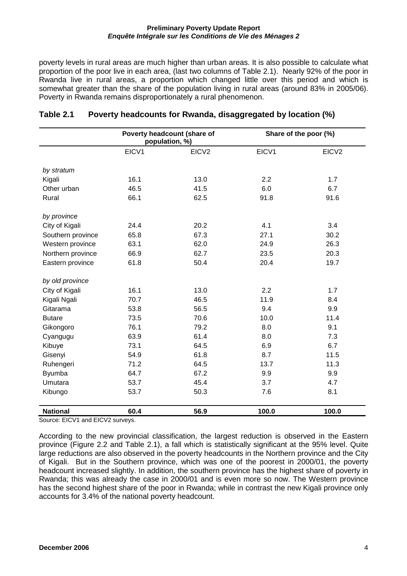poverty levels in rural areas are much higher than urban areas. It is also possible to calculate what proportion of the poor live in each area, (last two columns of Table 2.1). Nearly 92% of the poor in Rwanda live in rural areas, a proportion which changed little over this period and which is somewhat greater than the share of the population living in rural areas (around 83% in 2005/06). Poverty in Rwanda remains disproportionately a rural phenomenon.

|                   | Poverty headcount (share of<br>population, %) |                   |       | Share of the poor (%) |
|-------------------|-----------------------------------------------|-------------------|-------|-----------------------|
|                   | EICV1                                         | EICV <sub>2</sub> | EICV1 | EICV <sub>2</sub>     |
|                   |                                               |                   |       |                       |
| by stratum        | 16.1                                          | 13.0              | 2.2   | 1.7                   |
| Kigali            | 46.5                                          |                   | 6.0   |                       |
| Other urban       |                                               | 41.5              |       | 6.7                   |
| Rural             | 66.1                                          | 62.5              | 91.8  | 91.6                  |
| by province       |                                               |                   |       |                       |
| City of Kigali    | 24.4                                          | 20.2              | 4.1   | 3.4                   |
| Southern province | 65.8                                          | 67.3              | 27.1  | 30.2                  |
| Western province  | 63.1                                          | 62.0              | 24.9  | 26.3                  |
| Northern province | 66.9                                          | 62.7              | 23.5  | 20.3                  |
| Eastern province  | 61.8                                          | 50.4              | 20.4  | 19.7                  |
|                   |                                               |                   |       |                       |
| by old province   |                                               |                   |       |                       |
| City of Kigali    | 16.1                                          | 13.0              | 2.2   | 1.7                   |
| Kigali Ngali      | 70.7                                          | 46.5              | 11.9  | 8.4                   |
| Gitarama          | 53.8                                          | 56.5              | 9.4   | 9.9                   |
| <b>Butare</b>     | 73.5                                          | 70.6              | 10.0  | 11.4                  |
| Gikongoro         | 76.1                                          | 79.2              | 8.0   | 9.1                   |
| Cyangugu          | 63.9                                          | 61.4              | 8.0   | 7.3                   |
| Kibuye            | 73.1                                          | 64.5              | 6.9   | 6.7                   |
| Gisenyi           | 54.9                                          | 61.8              | 8.7   | 11.5                  |
| Ruhengeri         | 71.2                                          | 64.5              | 13.7  | 11.3                  |
| <b>Byumba</b>     | 64.7                                          | 67.2              | 9.9   | 9.9                   |
| Umutara           | 53.7                                          | 45.4              | 3.7   | 4.7                   |
| Kibungo           | 53.7                                          | 50.3              | 7.6   | 8.1                   |
|                   |                                               |                   |       |                       |
| <b>National</b>   | 60.4                                          | 56.9              | 100.0 | 100.0                 |

#### **Table 2.1 Poverty headcounts for Rwanda, disaggregated by location (%)**

Source: EICV1 and EICV2 surveys.

According to the new provincial classification, the largest reduction is observed in the Eastern province (Figure 2.2 and Table 2.1), a fall which is statistically significant at the 95% level. Quite large reductions are also observed in the poverty headcounts in the Northern province and the City of Kigali. But in the Southern province, which was one of the poorest in 2000/01, the poverty headcount increased slightly. In addition, the southern province has the highest share of poverty in Rwanda; this was already the case in 2000/01 and is even more so now. The Western province has the second highest share of the poor in Rwanda; while in contrast the new Kigali province only accounts for 3.4% of the national poverty headcount.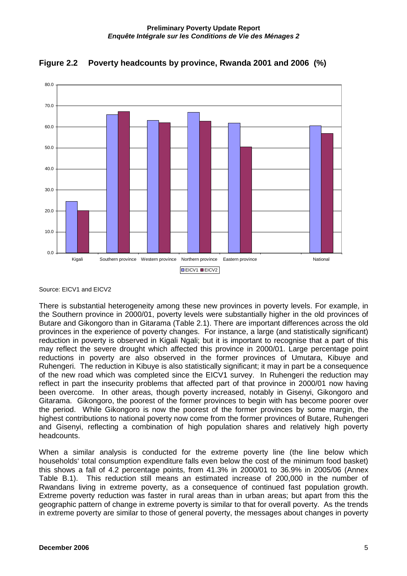



Source: EICV1 and EICV2

There is substantial heterogeneity among these new provinces in poverty levels. For example, in the Southern province in 2000/01, poverty levels were substantially higher in the old provinces of Butare and Gikongoro than in Gitarama (Table 2.1). There are important differences across the old provinces in the experience of poverty changes. For instance, a large (and statistically significant) reduction in poverty is observed in Kigali Ngali; but it is important to recognise that a part of this may reflect the severe drought which affected this province in 2000/01. Large percentage point reductions in poverty are also observed in the former provinces of Umutara, Kibuye and Ruhengeri. The reduction in Kibuye is also statistically significant; it may in part be a consequence of the new road which was completed since the EICV1 survey. In Ruhengeri the reduction may reflect in part the insecurity problems that affected part of that province in 2000/01 now having been overcome. In other areas, though poverty increased, notably in Gisenyi, Gikongoro and Gitarama. Gikongoro, the poorest of the former provinces to begin with has become poorer over the period. While Gikongoro is now the poorest of the former provinces by some margin, the highest contributions to national poverty now come from the former provinces of Butare, Ruhengeri and Gisenyi, reflecting a combination of high population shares and relatively high poverty headcounts.

When a similar analysis is conducted for the extreme poverty line (the line below which households' total consumption expenditure falls even below the cost of the minimum food basket) this shows a fall of 4.2 percentage points, from 41.3% in 2000/01 to 36.9% in 2005/06 (Annex Table B.1). This reduction still means an estimated increase of 200,000 in the number of Rwandans living in extreme poverty, as a consequence of continued fast population growth. Extreme poverty reduction was faster in rural areas than in urban areas; but apart from this the geographic pattern of change in extreme poverty is similar to that for overall poverty. As the trends in extreme poverty are similar to those of general poverty, the messages about changes in poverty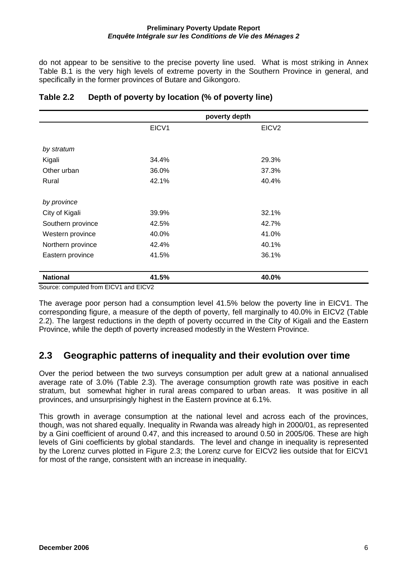do not appear to be sensitive to the precise poverty line used. What is most striking in Annex Table B.1 is the very high levels of extreme poverty in the Southern Province in general, and specifically in the former provinces of Butare and Gikongoro.

|                   | poverty depth |                   |  |  |
|-------------------|---------------|-------------------|--|--|
|                   | EICV1         | EICV <sub>2</sub> |  |  |
|                   |               |                   |  |  |
| by stratum        |               |                   |  |  |
| Kigali            | 34.4%         | 29.3%             |  |  |
| Other urban       | 36.0%         | 37.3%             |  |  |
| Rural             | 42.1%         | 40.4%             |  |  |
| by province       |               |                   |  |  |
| City of Kigali    | 39.9%         | 32.1%             |  |  |
| Southern province | 42.5%         | 42.7%             |  |  |
| Western province  | 40.0%         | 41.0%             |  |  |
| Northern province | 42.4%         | 40.1%             |  |  |
| Eastern province  | 41.5%         | 36.1%             |  |  |
| <b>National</b>   | 41.5%         | 40.0%             |  |  |

### **Table 2.2 Depth of poverty by location (% of poverty line)**

Source: computed from EICV1 and EICV2

The average poor person had a consumption level 41.5% below the poverty line in EICV1. The corresponding figure, a measure of the depth of poverty, fell marginally to 40.0% in EICV2 (Table 2.2). The largest reductions in the depth of poverty occurred in the City of Kigali and the Eastern Province, while the depth of poverty increased modestly in the Western Province.

## **2.3 Geographic patterns of inequality and their evolution over time**

Over the period between the two surveys consumption per adult grew at a national annualised average rate of 3.0% (Table 2.3). The average consumption growth rate was positive in each stratum, but somewhat higher in rural areas compared to urban areas. It was positive in all provinces, and unsurprisingly highest in the Eastern province at 6.1%.

This growth in average consumption at the national level and across each of the provinces, though, was not shared equally. Inequality in Rwanda was already high in 2000/01, as represented by a Gini coefficient of around 0.47, and this increased to around 0.50 in 2005/06. These are high levels of Gini coefficients by global standards. The level and change in inequality is represented by the Lorenz curves plotted in Figure 2.3; the Lorenz curve for EICV2 lies outside that for EICV1 for most of the range, consistent with an increase in inequality.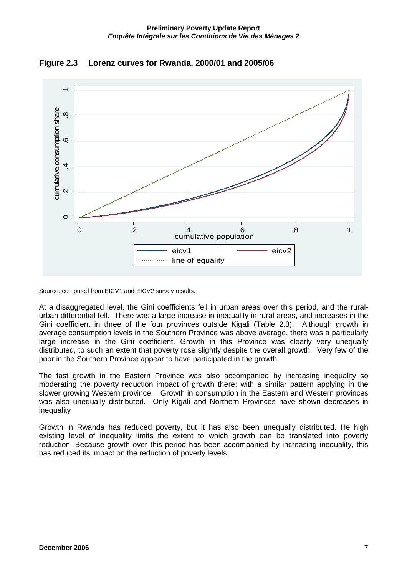

**Figure 2.3 Lorenz curves for Rwanda, 2000/01 and 2005/06** 

Source: computed from EICV1 and EICV2 survey results.

At a disaggregated level, the Gini coefficients fell in urban areas over this period, and the ruralurban differential fell. There was a large increase in inequality in rural areas, and increases in the Gini coefficient in three of the four provinces outside Kigali (Table 2.3). Although growth in average consumption levels in the Southern Province was above average, there was a particularly large increase in the Gini coefficient. Growth in this Province was clearly very unequally distributed, to such an extent that poverty rose slightly despite the overall growth. Very few of the poor in the Southern Province appear to have participated in the growth.

line of equality

The fast growth in the Eastern Province was also accompanied by increasing inequality so moderating the poverty reduction impact of growth there; with a similar pattern applying in the slower growing Western province. Growth in consumption in the Eastern and Western provinces was also unequally distributed. Only Kigali and Northern Provinces have shown decreases in inequality

Growth in Rwanda has reduced poverty, but it has also been unequally distributed. He high existing level of inequality limits the extent to which growth can be translated into poverty reduction. Because growth over this period has been accompanied by increasing inequality, this has reduced its impact on the reduction of poverty levels.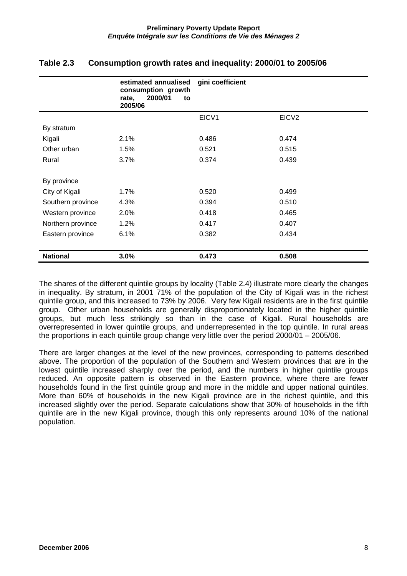|                   | estimated annualised<br>consumption growth<br>2000/01<br>rate,<br>to<br>2005/06 | gini coefficient |                   |
|-------------------|---------------------------------------------------------------------------------|------------------|-------------------|
|                   |                                                                                 | EICV1            | EICV <sub>2</sub> |
| By stratum        |                                                                                 |                  |                   |
| Kigali            | 2.1%                                                                            | 0.486            | 0.474             |
| Other urban       | 1.5%                                                                            | 0.521            | 0.515             |
| Rural             | 3.7%                                                                            | 0.374            | 0.439             |
|                   |                                                                                 |                  |                   |
| By province       |                                                                                 |                  |                   |
| City of Kigali    | 1.7%                                                                            | 0.520            | 0.499             |
| Southern province | 4.3%                                                                            | 0.394            | 0.510             |
| Western province  | 2.0%                                                                            | 0.418            | 0.465             |
| Northern province | 1.2%                                                                            | 0.417            | 0.407             |
| Eastern province  | 6.1%                                                                            | 0.382            | 0.434             |
|                   |                                                                                 |                  |                   |
| <b>National</b>   | 3.0%                                                                            | 0.473            | 0.508             |

### **Table 2.3 Consumption growth rates and inequality: 2000/01 to 2005/06**

The shares of the different quintile groups by locality (Table 2.4) illustrate more clearly the changes in inequality. By stratum, in 2001 71% of the population of the City of Kigali was in the richest quintile group, and this increased to 73% by 2006. Very few Kigali residents are in the first quintile group. Other urban households are generally disproportionately located in the higher quintile groups, but much less strikingly so than in the case of Kigali. Rural households are overrepresented in lower quintile groups, and underrepresented in the top quintile. In rural areas the proportions in each quintile group change very little over the period 2000/01 – 2005/06.

There are larger changes at the level of the new provinces, corresponding to patterns described above. The proportion of the population of the Southern and Western provinces that are in the lowest quintile increased sharply over the period, and the numbers in higher quintile groups reduced. An opposite pattern is observed in the Eastern province, where there are fewer households found in the first quintile group and more in the middle and upper national quintiles. More than 60% of households in the new Kigali province are in the richest quintile, and this increased slightly over the period. Separate calculations show that 30% of households in the fifth quintile are in the new Kigali province, though this only represents around 10% of the national population.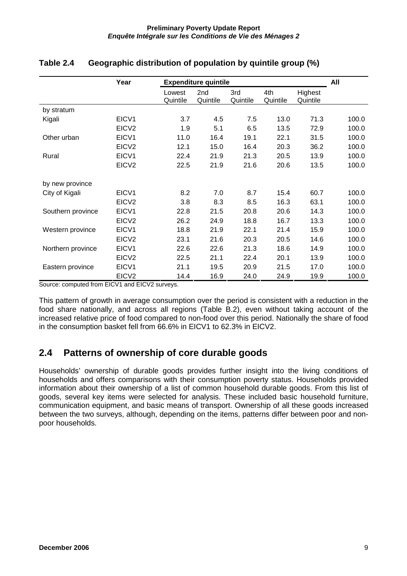|                   | Year              | <b>Expenditure quintile</b> |                             |                 |                 |                     | All   |
|-------------------|-------------------|-----------------------------|-----------------------------|-----------------|-----------------|---------------------|-------|
|                   |                   | Lowest<br>Quintile          | 2 <sub>nd</sub><br>Quintile | 3rd<br>Quintile | 4th<br>Quintile | Highest<br>Quintile |       |
| by stratum        |                   |                             |                             |                 |                 |                     |       |
| Kigali            | EICV1             | 3.7                         | 4.5                         | 7.5             | 13.0            | 71.3                | 100.0 |
|                   | EICV <sub>2</sub> | 1.9                         | 5.1                         | 6.5             | 13.5            | 72.9                | 100.0 |
| Other urban       | EICV1             | 11.0                        | 16.4                        | 19.1            | 22.1            | 31.5                | 100.0 |
|                   | EICV <sub>2</sub> | 12.1                        | 15.0                        | 16.4            | 20.3            | 36.2                | 100.0 |
| Rural             | EICV1             | 22.4                        | 21.9                        | 21.3            | 20.5            | 13.9                | 100.0 |
|                   | EICV <sub>2</sub> | 22.5                        | 21.9                        | 21.6            | 20.6            | 13.5                | 100.0 |
| by new province   |                   |                             |                             |                 |                 |                     |       |
| City of Kigali    | EICV <sub>1</sub> | 8.2                         | 7.0                         | 8.7             | 15.4            | 60.7                | 100.0 |
|                   | EICV <sub>2</sub> | 3.8                         | 8.3                         | 8.5             | 16.3            | 63.1                | 100.0 |
| Southern province | EICV1             | 22.8                        | 21.5                        | 20.8            | 20.6            | 14.3                | 100.0 |
|                   | EICV <sub>2</sub> | 26.2                        | 24.9                        | 18.8            | 16.7            | 13.3                | 100.0 |
| Western province  | EICV1             | 18.8                        | 21.9                        | 22.1            | 21.4            | 15.9                | 100.0 |
|                   | EICV <sub>2</sub> | 23.1                        | 21.6                        | 20.3            | 20.5            | 14.6                | 100.0 |
| Northern province | EICV1             | 22.6                        | 22.6                        | 21.3            | 18.6            | 14.9                | 100.0 |
|                   | EICV <sub>2</sub> | 22.5                        | 21.1                        | 22.4            | 20.1            | 13.9                | 100.0 |
| Eastern province  | EICV1             | 21.1                        | 19.5                        | 20.9            | 21.5            | 17.0                | 100.0 |
|                   | EICV <sub>2</sub> | 14.4                        | 16.9                        | 24.0            | 24.9            | 19.9                | 100.0 |

### **Table 2.4 Geographic distribution of population by quintile group (%)**

Source: computed from EICV1 and EICV2 surveys.

This pattern of growth in average consumption over the period is consistent with a reduction in the food share nationally, and across all regions (Table B.2), even without taking account of the increased relative price of food compared to non-food over this period. Nationally the share of food in the consumption basket fell from 66.6% in EICV1 to 62.3% in EICV2.

## **2.4 Patterns of ownership of core durable goods**

Households' ownership of durable goods provides further insight into the living conditions of households and offers comparisons with their consumption poverty status. Households provided information about their ownership of a list of common household durable goods. From this list of goods, several key items were selected for analysis. These included basic household furniture, communication equipment, and basic means of transport. Ownership of all these goods increased between the two surveys, although, depending on the items, patterns differ between poor and nonpoor households.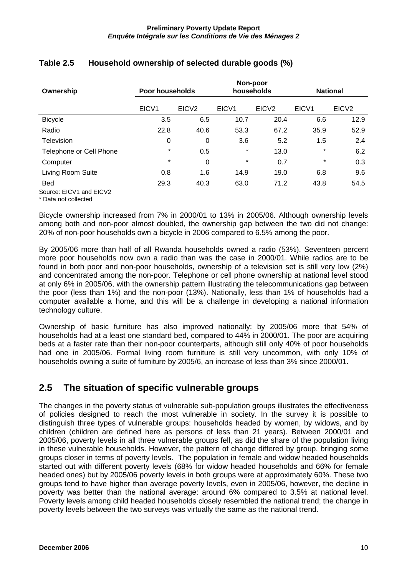|                         | Non-poor<br>Poor households<br>households<br><b>National</b> |                   |                   |                   |                   |                   |
|-------------------------|--------------------------------------------------------------|-------------------|-------------------|-------------------|-------------------|-------------------|
| Ownership               |                                                              |                   |                   |                   |                   |                   |
|                         | EICV <sub>1</sub>                                            | EICV <sub>2</sub> | EICV <sub>1</sub> | EICV <sub>2</sub> | EICV <sub>1</sub> | EICV <sub>2</sub> |
| <b>Bicycle</b>          | 3.5                                                          | 6.5               | 10.7              | 20.4              | 6.6               | 12.9              |
| Radio                   | 22.8                                                         | 40.6              | 53.3              | 67.2              | 35.9              | 52.9              |
| Television              | 0                                                            | 0                 | 3.6               | 5.2               | 1.5               | 2.4               |
| Telephone or Cell Phone | $\star$                                                      | 0.5               | $\star$           | 13.0              | $\star$           | 6.2               |
| Computer                | $\star$                                                      | 0                 | $\star$           | 0.7               | $\star$           | 0.3               |
| Living Room Suite       | 0.8                                                          | 1.6               | 14.9              | 19.0              | 6.8               | 9.6               |
| <b>Bed</b>              | 29.3                                                         | 40.3              | 63.0              | 71.2              | 43.8              | 54.5              |
| Source: EICV1 and EICV2 |                                                              |                   |                   |                   |                   |                   |

### **Table 2.5 Household ownership of selected durable goods (%)**

\* Data not collected

Bicycle ownership increased from 7% in 2000/01 to 13% in 2005/06. Although ownership levels among both and non-poor almost doubled, the ownership gap between the two did not change: 20% of non-poor households own a bicycle in 2006 compared to 6.5% among the poor.

By 2005/06 more than half of all Rwanda households owned a radio (53%). Seventeen percent more poor households now own a radio than was the case in 2000/01. While radios are to be found in both poor and non-poor households, ownership of a television set is still very low (2%) and concentrated among the non-poor. Telephone or cell phone ownership at national level stood at only 6% in 2005/06, with the ownership pattern illustrating the telecommunications gap between the poor (less than 1%) and the non-poor (13%). Nationally, less than 1% of households had a computer available a home, and this will be a challenge in developing a national information technology culture.

Ownership of basic furniture has also improved nationally: by 2005/06 more that 54% of households had at a least one standard bed, compared to 44% in 2000/01. The poor are acquiring beds at a faster rate than their non-poor counterparts, although still only 40% of poor households had one in 2005/06. Formal living room furniture is still very uncommon, with only 10% of households owning a suite of furniture by 2005/6, an increase of less than 3% since 2000/01.

# **2.5 The situation of specific vulnerable groups**

The changes in the poverty status of vulnerable sub-population groups illustrates the effectiveness of policies designed to reach the most vulnerable in society. In the survey it is possible to distinguish three types of vulnerable groups: households headed by women, by widows, and by children (children are defined here as persons of less than 21 years). Between 2000/01 and 2005/06, poverty levels in all three vulnerable groups fell, as did the share of the population living in these vulnerable households. However, the pattern of change differed by group, bringing some groups closer in terms of poverty levels. The population in female and widow headed households started out with different poverty levels (68% for widow headed households and 66% for female headed ones) but by 2005/06 poverty levels in both groups were at approximately 60%. These two groups tend to have higher than average poverty levels, even in 2005/06, however, the decline in poverty was better than the national average: around 6% compared to 3.5% at national level. Poverty levels among child headed households closely resembled the national trend; the change in poverty levels between the two surveys was virtually the same as the national trend.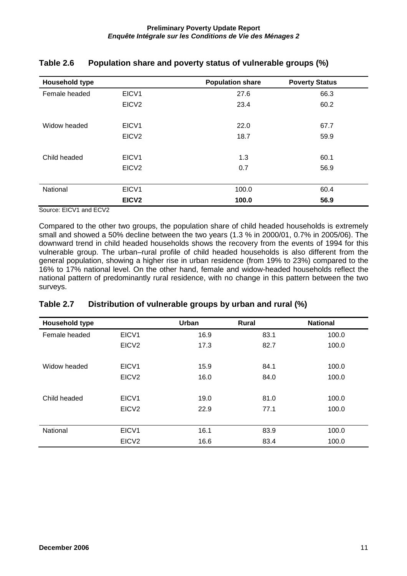| Household type |                   | <b>Population share</b> | <b>Poverty Status</b> |
|----------------|-------------------|-------------------------|-----------------------|
| Female headed  | EICV1             | 27.6                    | 66.3                  |
|                | EICV <sub>2</sub> | 23.4                    | 60.2                  |
| Widow headed   | EICV1             | 22.0                    | 67.7                  |
|                | EICV <sub>2</sub> | 18.7                    | 59.9                  |
|                |                   |                         |                       |
| Child headed   | EICV1             | 1.3                     | 60.1                  |
|                | EICV <sub>2</sub> | 0.7                     | 56.9                  |
|                |                   |                         |                       |
| National       | EICV <sub>1</sub> | 100.0                   | 60.4                  |
|                | EICV <sub>2</sub> | 100.0                   | 56.9                  |

#### **Table 2.6 Population share and poverty status of vulnerable groups (%)**

Source: EICV1 and ECV2

Compared to the other two groups, the population share of child headed households is extremely small and showed a 50% decline between the two years (1.3 % in 2000/01, 0.7% in 2005/06). The downward trend in child headed households shows the recovery from the events of 1994 for this vulnerable group. The urban–rural profile of child headed households is also different from the general population, showing a higher rise in urban residence (from 19% to 23%) compared to the 16% to 17% national level. On the other hand, female and widow-headed households reflect the national pattern of predominantly rural residence, with no change in this pattern between the two surveys.

| <b>Household type</b> |                   | <b>Urban</b> | Rural | <b>National</b> |
|-----------------------|-------------------|--------------|-------|-----------------|
| Female headed         | EICV1             | 16.9         | 83.1  | 100.0           |
|                       | EICV <sub>2</sub> | 17.3         | 82.7  | 100.0           |
|                       |                   |              |       |                 |
| Widow headed          | EICV <sub>1</sub> | 15.9         | 84.1  | 100.0           |
|                       | EICV <sub>2</sub> | 16.0         | 84.0  | 100.0           |
|                       |                   |              |       |                 |
| Child headed          | EICV <sub>1</sub> | 19.0         | 81.0  | 100.0           |
|                       | EICV <sub>2</sub> | 22.9         | 77.1  | 100.0           |
|                       |                   |              |       |                 |
| National              | EICV <sub>1</sub> | 16.1         | 83.9  | 100.0           |
|                       | EICV <sub>2</sub> | 16.6         | 83.4  | 100.0           |

#### **Table 2.7 Distribution of vulnerable groups by urban and rural (%)**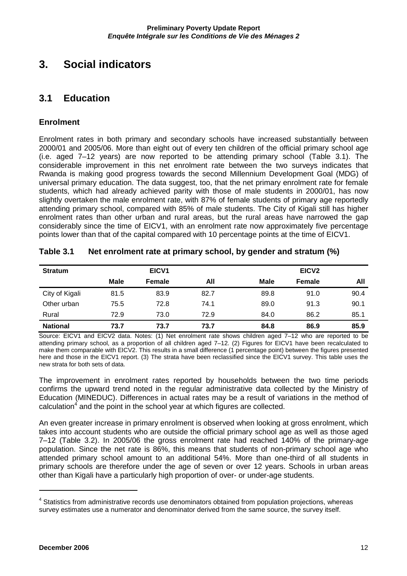# **3. Social indicators**

### **3.1 Education**

### **Enrolment**

Enrolment rates in both primary and secondary schools have increased substantially between 2000/01 and 2005/06. More than eight out of every ten children of the official primary school age (i.e. aged 7–12 years) are now reported to be attending primary school (Table 3.1). The considerable improvement in this net enrolment rate between the two surveys indicates that Rwanda is making good progress towards the second Millennium Development Goal (MDG) of universal primary education. The data suggest, too, that the net primary enrolment rate for female students, which had already achieved parity with those of male students in 2000/01, has now slightly overtaken the male enrolment rate, with 87% of female students of primary age reportedly attending primary school, compared with 85% of male students. The City of Kigali still has higher enrolment rates than other urban and rural areas, but the rural areas have narrowed the gap considerably since the time of EICV1, with an enrolment rate now approximately five percentage points lower than that of the capital compared with 10 percentage points at the time of EICV1.

| <b>Stratum</b>  |      | EICV1  |      |             | EICV <sub>2</sub> |      |
|-----------------|------|--------|------|-------------|-------------------|------|
|                 | Male | Female | All  | <b>Male</b> | <b>Female</b>     | All  |
| City of Kigali  | 81.5 | 83.9   | 82.7 | 89.8        | 91.0              | 90.4 |
| Other urban     | 75.5 | 72.8   | 74.1 | 89.0        | 91.3              | 90.1 |
| Rural           | 72.9 | 73.0   | 72.9 | 84.0        | 86.2              | 85.1 |
| <b>National</b> | 73.7 | 73.7   | 73.7 | 84.8        | 86.9              | 85.9 |

#### **Table 3.1 Net enrolment rate at primary school, by gender and stratum (%)**

Source: EICV1 and EICV2 data. Notes: (1) Net enrolment rate shows children aged 7–12 who are reported to be attending primary school, as a proportion of all children aged 7–12. (2) Figures for EICV1 have been recalculated to make them comparable with EICV2. This results in a small difference (1 percentage point) between the figures presented here and those in the EICV1 report. (3) The strata have been reclassified since the EICV1 survey. This table uses the new strata for both sets of data.

The improvement in enrolment rates reported by households between the two time periods confirms the upward trend noted in the regular administrative data collected by the Ministry of Education (MINEDUC). Differences in actual rates may be a result of variations in the method of calculation<sup>4</sup> and the point in the school year at which figures are collected.

An even greater increase in primary enrolment is observed when looking at gross enrolment, which takes into account students who are outside the official primary school age as well as those aged 7–12 (Table 3.2). In 2005/06 the gross enrolment rate had reached 140% of the primary-age population. Since the net rate is 86%, this means that students of non-primary school age who attended primary school amount to an additional 54%. More than one-third of all students in primary schools are therefore under the age of seven or over 12 years. Schools in urban areas other than Kigali have a particularly high proportion of over- or under-age students.

<sup>&</sup>lt;sup>4</sup> Statistics from administrative records use denominators obtained from population projections, whereas survey estimates use a numerator and denominator derived from the same source, the survey itself.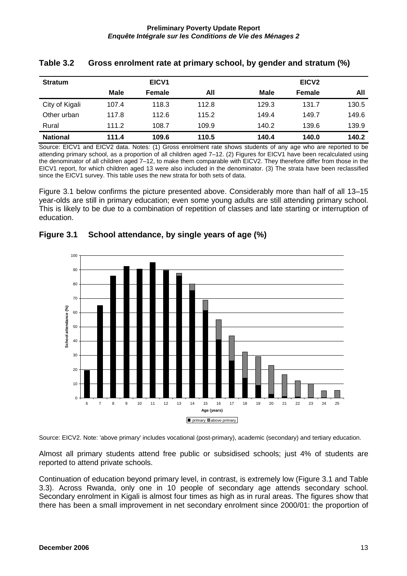| <b>Stratum</b>  |       | EICV <sub>1</sub> |       |       | EICV <sub>2</sub> |       |
|-----------------|-------|-------------------|-------|-------|-------------------|-------|
|                 | Male  | <b>Female</b>     | All   | Male  | <b>Female</b>     | All   |
| City of Kigali  | 107.4 | 118.3             | 112.8 | 129.3 | 131.7             | 130.5 |
| Other urban     | 117.8 | 112.6             | 115.2 | 149.4 | 149.7             | 149.6 |
| Rural           | 111.2 | 108.7             | 109.9 | 140.2 | 139.6             | 139.9 |
| <b>National</b> | 111.4 | 109.6             | 110.5 | 140.4 | 140.0             | 140.2 |

#### **Table 3.2 Gross enrolment rate at primary school, by gender and stratum (%)**

Source: EICV1 and EICV2 data. Notes: (1) Gross enrolment rate shows students of any age who are reported to be attending primary school, as a proportion of all children aged 7–12. (2) Figures for EICV1 have been recalculated using the denominator of all children aged 7–12, to make them comparable with EICV2. They therefore differ from those in the EICV1 report, for which children aged 13 were also included in the denominator. (3) The strata have been reclassified since the EICV1 survey. This table uses the new strata for both sets of data.

Figure 3.1 below confirms the picture presented above. Considerably more than half of all 13–15 year-olds are still in primary education; even some young adults are still attending primary school. This is likely to be due to a combination of repetition of classes and late starting or interruption of education.



**Figure 3.1 School attendance, by single years of age (%)** 

Source: EICV2. Note: 'above primary' includes vocational (post-primary), academic (secondary) and tertiary education.

Almost all primary students attend free public or subsidised schools; just 4% of students are reported to attend private schools.

Continuation of education beyond primary level, in contrast, is extremely low (Figure 3.1 and Table 3.3). Across Rwanda, only one in 10 people of secondary age attends secondary school. Secondary enrolment in Kigali is almost four times as high as in rural areas. The figures show that there has been a small improvement in net secondary enrolment since 2000/01: the proportion of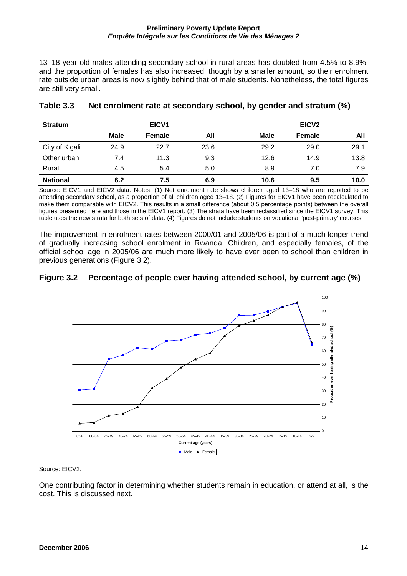13–18 year-old males attending secondary school in rural areas has doubled from 4.5% to 8.9%, and the proportion of females has also increased, though by a smaller amount, so their enrolment rate outside urban areas is now slightly behind that of male students. Nonetheless, the total figures are still very small.

| <b>Stratum</b>  |      | EICV1  |      |             | EICV <sub>2</sub> |      |
|-----------------|------|--------|------|-------------|-------------------|------|
|                 | Male | Female | All  | <b>Male</b> | <b>Female</b>     | All  |
| City of Kigali  | 24.9 | 22.7   | 23.6 | 29.2        | 29.0              | 29.1 |
| Other urban     | 7.4  | 11.3   | 9.3  | 12.6        | 14.9              | 13.8 |
| Rural           | 4.5  | 5.4    | 5.0  | 8.9         | 7.0               | 7.9  |
| <b>National</b> | 6.2  | 7.5    | 6.9  | 10.6        | 9.5               | 10.0 |

#### **Table 3.3 Net enrolment rate at secondary school, by gender and stratum (%)**

Source: EICV1 and EICV2 data. Notes: (1) Net enrolment rate shows children aged 13–18 who are reported to be attending secondary school, as a proportion of all children aged 13–18. (2) Figures for EICV1 have been recalculated to make them comparable with EICV2. This results in a small difference (about 0.5 percentage points) between the overall figures presented here and those in the EICV1 report. (3) The strata have been reclassified since the EICV1 survey. This table uses the new strata for both sets of data. (4) Figures do not include students on vocational 'post-primary' courses.

The improvement in enrolment rates between 2000/01 and 2005/06 is part of a much longer trend of gradually increasing school enrolment in Rwanda. Children, and especially females, of the official school age in 2005/06 are much more likely to have ever been to school than children in previous generations (Figure 3.2).

#### **Figure 3.2 Percentage of people ever having attended school, by current age (%)**



Source: EICV2.

One contributing factor in determining whether students remain in education, or attend at all, is the cost. This is discussed next.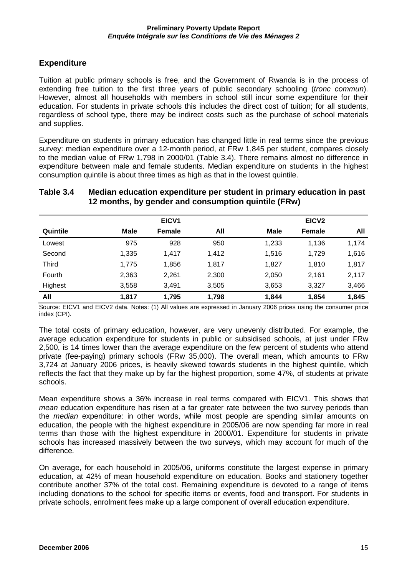### **Expenditure**

Tuition at public primary schools is free, and the Government of Rwanda is in the process of extending free tuition to the first three years of public secondary schooling (tronc commun). However, almost all households with members in school still incur some expenditure for their education. For students in private schools this includes the direct cost of tuition; for all students, regardless of school type, there may be indirect costs such as the purchase of school materials and supplies.

Expenditure on students in primary education has changed little in real terms since the previous survey: median expenditure over a 12-month period, at FRw 1,845 per student, compares closely to the median value of FRw 1,798 in 2000/01 (Table 3.4). There remains almost no difference in expenditure between male and female students. Median expenditure on students in the highest consumption quintile is about three times as high as that in the lowest quintile.

#### **Table 3.4 Median education expenditure per student in primary education in past 12 months, by gender and consumption quintile (FRw)**

|              |       | EICV <sub>1</sub> |       |             | EICV <sub>2</sub> |       |
|--------------|-------|-------------------|-------|-------------|-------------------|-------|
| Quintile     | Male  | <b>Female</b>     | All   | <b>Male</b> | <b>Female</b>     | All   |
| Lowest       | 975   | 928               | 950   | 1,233       | 1,136             | 1,174 |
| Second       | 1,335 | 1,417             | 1,412 | 1,516       | 1,729             | 1,616 |
| <b>Third</b> | 1,775 | 1,856             | 1,817 | 1,827       | 1,810             | 1,817 |
| Fourth       | 2,363 | 2,261             | 2,300 | 2,050       | 2,161             | 2,117 |
| Highest      | 3,558 | 3,491             | 3,505 | 3,653       | 3,327             | 3,466 |
| All          | 1,817 | 1,795             | 1,798 | 1,844       | 1,854             | 1,845 |

Source: EICV1 and EICV2 data. Notes: (1) All values are expressed in January 2006 prices using the consumer price index (CPI).

The total costs of primary education, however, are very unevenly distributed. For example, the average education expenditure for students in public or subsidised schools, at just under FRw 2,500, is 14 times lower than the average expenditure on the few percent of students who attend private (fee-paying) primary schools (FRw 35,000). The overall mean, which amounts to FRw 3,724 at January 2006 prices, is heavily skewed towards students in the highest quintile, which reflects the fact that they make up by far the highest proportion, some 47%, of students at private schools.

Mean expenditure shows a 36% increase in real terms compared with EICV1. This shows that mean education expenditure has risen at a far greater rate between the two survey periods than the *median* expenditure: in other words, while most people are spending similar amounts on education, the people with the highest expenditure in 2005/06 are now spending far more in real terms than those with the highest expenditure in 2000/01. Expenditure for students in private schools has increased massively between the two surveys, which may account for much of the difference.

On average, for each household in 2005/06, uniforms constitute the largest expense in primary education, at 42% of mean household expenditure on education. Books and stationery together contribute another 37% of the total cost. Remaining expenditure is devoted to a range of items including donations to the school for specific items or events, food and transport. For students in private schools, enrolment fees make up a large component of overall education expenditure.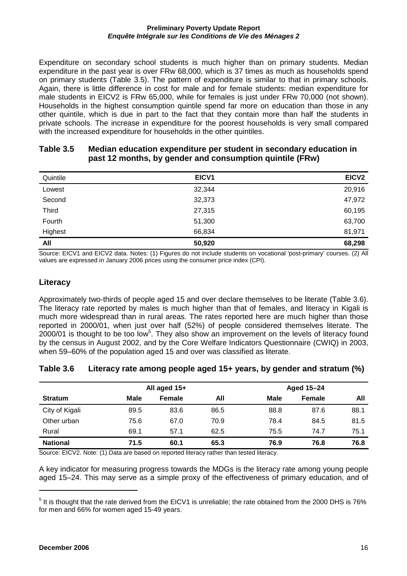Expenditure on secondary school students is much higher than on primary students. Median expenditure in the past year is over FRw 68,000, which is 37 times as much as households spend on primary students (Table 3.5). The pattern of expenditure is similar to that in primary schools. Again, there is little difference in cost for male and for female students: median expenditure for male students in EICV2 is FRw 65,000, while for females is just under FRw 70,000 (not shown). Households in the highest consumption quintile spend far more on education than those in any other quintile, which is due in part to the fact that they contain more than half the students in private schools. The increase in expenditure for the poorest households is very small compared with the increased expenditure for households in the other quintiles.

| past 12 months, by gender and consumption quintile (FRW) |                   |                   |  |  |  |
|----------------------------------------------------------|-------------------|-------------------|--|--|--|
| Quintile                                                 | EICV <sub>1</sub> | EICV <sub>2</sub> |  |  |  |
| Lowest                                                   | 32.344            | 20,916            |  |  |  |
| Second                                                   | 32,373            | 47,972            |  |  |  |
| Third                                                    | 27.315            | 60,195            |  |  |  |
| Fourth                                                   | 51,300            | 63,700            |  |  |  |

#### **Table 3.5 Median education expenditure per student in secondary education in past 12 months, by gender and consumption quintile (FRw)**

**All 50,920 68,298** Source: EICV1 and EICV2 data. Notes: (1) Figures do not include students on vocational 'post-primary' courses. (2) All values are expressed in January 2006 prices using the consumer price index (CPI).

Highest 66,834 81,971

#### **Literacy**

Approximately two-thirds of people aged 15 and over declare themselves to be literate (Table 3.6). The literacy rate reported by males is much higher than that of females, and literacy in Kigali is much more widespread than in rural areas. The rates reported here are much higher than those reported in 2000/01, when just over half (52%) of people considered themselves literate. The  $2000/01$  is thought to be too low<sup>5</sup>. They also show an improvement on the levels of literacy found by the census in August 2002, and by the Core Welfare Indicators Questionnaire (CWIQ) in 2003, when 59–60% of the population aged 15 and over was classified as literate.

#### **Table 3.6 Literacy rate among people aged 15+ years, by gender and stratum (%)**

|                 | All aged 15+ |               | Aged 15-24 |      |               |      |
|-----------------|--------------|---------------|------------|------|---------------|------|
| <b>Stratum</b>  | Male         | <b>Female</b> | All        | Male | <b>Female</b> | All  |
| City of Kigali  | 89.5         | 83.6          | 86.5       | 88.8 | 87.6          | 88.1 |
| Other urban     | 75.6         | 67.0          | 70.9       | 78.4 | 84.5          | 81.5 |
| Rural           | 69.1         | 57.1          | 62.5       | 75.5 | 74.7          | 75.1 |
| <b>National</b> | 71.5         | 60.1          | 65.3       | 76.9 | 76.8          | 76.8 |

Source: EICV2. Note: (1) Data are based on reported literacy rather than tested literacy.

A key indicator for measuring progress towards the MDGs is the literacy rate among young people aged 15–24. This may serve as a simple proxy of the effectiveness of primary education, and of

 $<sup>5</sup>$  It is thought that the rate derived from the EICV1 is unreliable; the rate obtained from the 2000 DHS is 76%</sup> for men and 66% for women aged 15-49 years.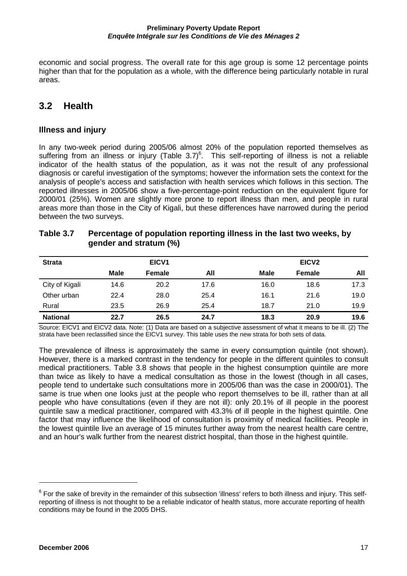economic and social progress. The overall rate for this age group is some 12 percentage points higher than that for the population as a whole, with the difference being particularly notable in rural areas.

## **3.2 Health**

#### **Illness and injury**

In any two-week period during 2005/06 almost 20% of the population reported themselves as suffering from an illness or injury (Table  $3.7)$ <sup>6</sup>. This self-reporting of illness is not a reliable indicator of the health status of the population, as it was not the result of any professional diagnosis or careful investigation of the symptoms; however the information sets the context for the analysis of people's access and satisfaction with health services which follows in this section. The reported illnesses in 2005/06 show a five-percentage-point reduction on the equivalent figure for 2000/01 (25%). Women are slightly more prone to report illness than men, and people in rural areas more than those in the City of Kigali, but these differences have narrowed during the period between the two surveys.

| Table 3.7 | Percentage of population reporting illness in the last two weeks, by |
|-----------|----------------------------------------------------------------------|
|           | gender and stratum (%)                                               |

| <b>Strata</b>   |      | EICV <sub>1</sub> |      |             | EICV <sub>2</sub> |      |
|-----------------|------|-------------------|------|-------------|-------------------|------|
|                 | Male | Female            | All  | <b>Male</b> | <b>Female</b>     | All  |
| City of Kigali  | 14.6 | 20.2              | 17.6 | 16.0        | 18.6              | 17.3 |
| Other urban     | 22.4 | 28.0              | 25.4 | 16.1        | 21.6              | 19.0 |
| Rural           | 23.5 | 26.9              | 25.4 | 18.7        | 21.0              | 19.9 |
| <b>National</b> | 22.7 | 26.5              | 24.7 | 18.3        | 20.9              | 19.6 |

Source: EICV1 and EICV2 data. Note: (1) Data are based on a subjective assessment of what it means to be ill. (2) The strata have been reclassified since the EICV1 survey. This table uses the new strata for both sets of data.

The prevalence of illness is approximately the same in every consumption quintile (not shown). However, there is a marked contrast in the tendency for people in the different quintiles to consult medical practitioners. Table 3.8 shows that people in the highest consumption quintile are more than twice as likely to have a medical consultation as those in the lowest (though in all cases, people tend to undertake such consultations more in 2005/06 than was the case in 2000/01). The same is true when one looks just at the people who report themselves to be ill, rather than at all people who have consultations (even if they are not ill): only 20.1% of ill people in the poorest quintile saw a medical practitioner, compared with 43.3% of ill people in the highest quintile. One factor that may influence the likelihood of consultation is proximity of medical facilities. People in the lowest quintile live an average of 15 minutes further away from the nearest health care centre, and an hour's walk further from the nearest district hospital, than those in the highest quintile.

 $^6$  For the sake of brevity in the remainder of this subsection 'illness' refers to both illness and injury. This selfreporting of illness is not thought to be a reliable indicator of health status, more accurate reporting of health conditions may be found in the 2005 DHS.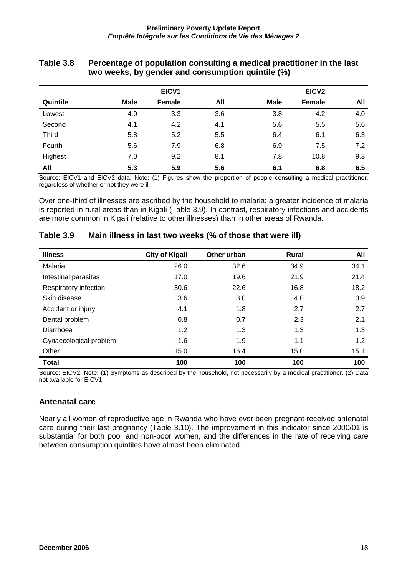|              |      | EICV1  |     |      | EICV <sub>2</sub> |     |
|--------------|------|--------|-----|------|-------------------|-----|
| Quintile     | Male | Female | All | Male | Female            | All |
| Lowest       | 4.0  | 3.3    | 3.6 | 3.8  | 4.2               | 4.0 |
| Second       | 4.1  | 4.2    | 4.1 | 5.6  | 5.5               | 5.6 |
| <b>Third</b> | 5.8  | 5.2    | 5.5 | 6.4  | 6.1               | 6.3 |
| Fourth       | 5.6  | 7.9    | 6.8 | 6.9  | 7.5               | 7.2 |
| Highest      | 7.0  | 9.2    | 8.1 | 7.8  | 10.8              | 9.3 |
| All          | 5.3  | 5.9    | 5.6 | 6.1  | 6.8               | 6.5 |

#### **Table 3.8 Percentage of population consulting a medical practitioner in the last two weeks, by gender and consumption quintile (%)**

Source: EICV1 and EICV2 data. Note: (1) Figures show the proportion of people consulting a medical practitioner, regardless of whether or not they were ill.

Over one-third of illnesses are ascribed by the household to malaria; a greater incidence of malaria is reported in rural areas than in Kigali (Table 3.9). In contrast, respiratory infections and accidents are more common in Kigali (relative to other illnesses) than in other areas of Rwanda.

| illness                | <b>City of Kigali</b> | Other urban | <b>Rural</b> | All  |
|------------------------|-----------------------|-------------|--------------|------|
| Malaria                | 26.0                  | 32.6        | 34.9         | 34.1 |
| Intestinal parasites   | 17.0                  | 19.6        | 21.9         | 21.4 |
| Respiratory infection  | 30.6                  | 22.6        | 16.8         | 18.2 |
| Skin disease           | 3.6                   | 3.0         | 4.0          | 3.9  |
| Accident or injury     | 4.1                   | 1.8         | 2.7          | 2.7  |
| Dental problem         | 0.8                   | 0.7         | 2.3          | 2.1  |
| Diarrhoea              | 1.2                   | 1.3         | 1.3          | 1.3  |
| Gynaecological problem | 1.6                   | 1.9         | 1.1          | 1.2  |
| Other                  | 15.0                  | 16.4        | 15.0         | 15.1 |
| <b>Total</b>           | 100                   | 100         | 100          | 100  |

#### **Table 3.9 Main illness in last two weeks (% of those that were ill)**

Source: EICV2. Note: (1) Symptoms as described by the household, not necessarily by a medical practitioner. (2) Data not available for EICV1.

#### **Antenatal care**

Nearly all women of reproductive age in Rwanda who have ever been pregnant received antenatal care during their last pregnancy (Table 3.10). The improvement in this indicator since 2000/01 is substantial for both poor and non-poor women, and the differences in the rate of receiving care between consumption quintiles have almost been eliminated.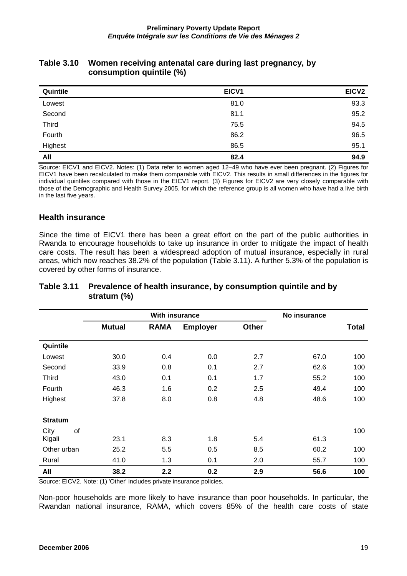| <b>Table 3.10</b> | Women receiving antenatal care during last pregnancy, by |
|-------------------|----------------------------------------------------------|
|                   | consumption quintile (%)                                 |

| Quintile | EICV1 | EICV <sub>2</sub> |
|----------|-------|-------------------|
| Lowest   | 81.0  | 93.3              |
| Second   | 81.1  | 95.2              |
| Third    | 75.5  | 94.5              |
| Fourth   | 86.2  | 96.5              |
| Highest  | 86.5  | 95.1              |
| All      | 82.4  | 94.9              |

Source: EICV1 and EICV2. Notes: (1) Data refer to women aged 12–49 who have ever been pregnant. (2) Figures for EICV1 have been recalculated to make them comparable with EICV2. This results in small differences in the figures for individual quintiles compared with those in the EICV1 report. (3) Figures for EICV2 are very closely comparable with those of the Demographic and Health Survey 2005, for which the reference group is all women who have had a live birth in the last five years.

#### **Health insurance**

Since the time of EICV1 there has been a great effort on the part of the public authorities in Rwanda to encourage households to take up insurance in order to mitigate the impact of health care costs. The result has been a widespread adoption of mutual insurance, especially in rural areas, which now reaches 38.2% of the population (Table 3.11). A further 5.3% of the population is covered by other forms of insurance.

|                |               | <b>With insurance</b> |                 |              | No insurance |              |
|----------------|---------------|-----------------------|-----------------|--------------|--------------|--------------|
|                | <b>Mutual</b> | <b>RAMA</b>           | <b>Employer</b> | <b>Other</b> |              | <b>Total</b> |
| Quintile       |               |                       |                 |              |              |              |
| Lowest         | 30.0          | 0.4                   | 0.0             | 2.7          | 67.0         | 100          |
| Second         | 33.9          | 0.8                   | 0.1             | 2.7          | 62.6         | 100          |
| <b>Third</b>   | 43.0          | 0.1                   | 0.1             | 1.7          | 55.2         | 100          |
| Fourth         | 46.3          | 1.6                   | 0.2             | 2.5          | 49.4         | 100          |
| Highest        | 37.8          | 8.0                   | 0.8             | 4.8          | 48.6         | 100          |
| <b>Stratum</b> |               |                       |                 |              |              |              |
| of<br>City     |               |                       |                 |              |              | 100          |
| Kigali         | 23.1          | 8.3                   | 1.8             | 5.4          | 61.3         |              |
| Other urban    | 25.2          | 5.5                   | 0.5             | 8.5          | 60.2         | 100          |
| Rural          | 41.0          | 1.3                   | 0.1             | 2.0          | 55.7         | 100          |
| All            | 38.2          | 2.2                   | 0.2             | 2.9          | 56.6         | 100          |

#### **Table 3.11 Prevalence of health insurance, by consumption quintile and by stratum (%)**

Source: EICV2. Note: (1) 'Other' includes private insurance policies.

Non-poor households are more likely to have insurance than poor households. In particular, the Rwandan national insurance, RAMA, which covers 85% of the health care costs of state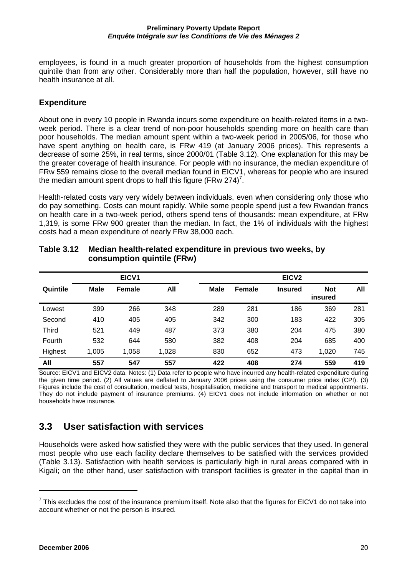employees, is found in a much greater proportion of households from the highest consumption quintile than from any other. Considerably more than half the population, however, still have no health insurance at all.

### **Expenditure**

About one in every 10 people in Rwanda incurs some expenditure on health-related items in a twoweek period. There is a clear trend of non-poor households spending more on health care than poor households. The median amount spent within a two-week period in 2005/06, for those who have spent anything on health care, is FRw 419 (at January 2006 prices). This represents a decrease of some 25%, in real terms, since 2000/01 (Table 3.12). One explanation for this may be the greater coverage of health insurance. For people with no insurance, the median expenditure of FRw 559 remains close to the overall median found in EICV1, whereas for people who are insured the median amount spent drops to half this figure (FRw 274)<sup>7</sup>.

Health-related costs vary very widely between individuals, even when considering only those who do pay something. Costs can mount rapidly. While some people spend just a few Rwandan francs on health care in a two-week period, others spend tens of thousands: mean expenditure, at FRw 1,319, is some FRw 900 greater than the median. In fact, the 1% of individuals with the highest costs had a mean expenditure of nearly FRw 38,000 each.

|          |             | EICV1  |       | EICV <sub>2</sub> |               |                |                       |     |  |
|----------|-------------|--------|-------|-------------------|---------------|----------------|-----------------------|-----|--|
| Quintile | <b>Male</b> | Female | All   | <b>Male</b>       | <b>Female</b> | <b>Insured</b> | <b>Not</b><br>insured | All |  |
| Lowest   | 399         | 266    | 348   | 289               | 281           | 186            | 369                   | 281 |  |
| Second   | 410         | 405    | 405   | 342               | 300           | 183            | 422                   | 305 |  |
| Third    | 521         | 449    | 487   | 373               | 380           | 204            | 475                   | 380 |  |
| Fourth   | 532         | 644    | 580   | 382               | 408           | 204            | 685                   | 400 |  |
| Highest  | 1,005       | 1,058  | 1,028 | 830               | 652           | 473            | 1,020                 | 745 |  |
| All      | 557         | 547    | 557   | 422               | 408           | 274            | 559                   | 419 |  |

#### **Table 3.12 Median health-related expenditure in previous two weeks, by consumption quintile (FRw)**

Source: EICV1 and EICV2 data. Notes: (1) Data refer to people who have incurred any health-related expenditure during the given time period. (2) All values are deflated to January 2006 prices using the consumer price index (CPI). (3) Figures include the cost of consultation, medical tests, hospitalisation, medicine and transport to medical appointments. They do not include payment of insurance premiums. (4) EICV1 does not include information on whether or not households have insurance.

## **3.3 User satisfaction with services**

Households were asked how satisfied they were with the public services that they used. In general most people who use each facility declare themselves to be satisfied with the services provided (Table 3.13). Satisfaction with health services is particularly high in rural areas compared with in Kigali; on the other hand, user satisfaction with transport facilities is greater in the capital than in

 $^7$  This excludes the cost of the insurance premium itself. Note also that the figures for EICV1 do not take into account whether or not the person is insured.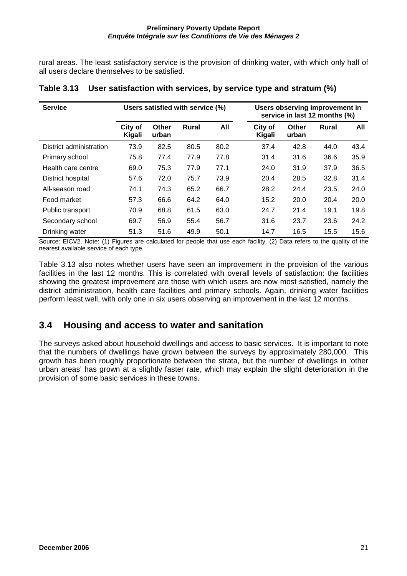rural areas. The least satisfactory service is the provision of drinking water, with which only half of all users declare themselves to be satisfied.

| <b>Service</b>          |                   |                | Users satisfied with service (%) |      | Users observing improvement in<br>service in last 12 months (%) |                |              |      |  |
|-------------------------|-------------------|----------------|----------------------------------|------|-----------------------------------------------------------------|----------------|--------------|------|--|
|                         | City of<br>Kigali | Other<br>urban | <b>Rural</b>                     | All  | City of<br>Kigali                                               | Other<br>urban | <b>Rural</b> | All  |  |
| District administration | 73.9              | 82.5           | 80.5                             | 80.2 | 37.4                                                            | 42.8           | 44.0         | 43.4 |  |
| Primary school          | 75.8              | 77.4           | 77.9                             | 77.8 | 31.4                                                            | 31.6           | 36.6         | 35.9 |  |
| Health care centre      | 69.0              | 75.3           | 77.9                             | 77.1 | 24.0                                                            | 31.9           | 37.9         | 36.5 |  |
| District hospital       | 57.6              | 72.0           | 75.7                             | 73.9 | 20.4                                                            | 28.5           | 32.8         | 31.4 |  |
| All-season road         | 74.1              | 74.3           | 65.2                             | 66.7 | 28.2                                                            | 24.4           | 23.5         | 24.0 |  |
| Food market             | 57.3              | 66.6           | 64.2                             | 64.0 | 15.2                                                            | 20.0           | 20.4         | 20.0 |  |
| Public transport        | 70.9              | 68.8           | 61.5                             | 63.0 | 24.7                                                            | 21.4           | 19.1         | 19.8 |  |
| Secondary school        | 69.7              | 56.9           | 55.4                             | 56.7 | 31.6                                                            | 23.7           | 23.6         | 24.2 |  |
| Drinking water          | 51.3              | 51.6           | 49.9                             | 50.1 | 14.7                                                            | 16.5           | 15.5         | 15.6 |  |

#### **Table 3.13 User satisfaction with services, by service type and stratum (%)**

Source: EICV2. Note: (1) Figures are calculated for people that use each facility. (2) Data refers to the quality of the nearest available service of each type.

Table 3.13 also notes whether users have seen an improvement in the provision of the various facilities in the last 12 months. This is correlated with overall levels of satisfaction: the facilities showing the greatest improvement are those with which users are now most satisfied, namely the district administration, health care facilities and primary schools. Again, drinking water facilities perform least well, with only one in six users observing an improvement in the last 12 months.

## **3.4 Housing and access to water and sanitation**

The surveys asked about household dwellings and access to basic services. It is important to note that the numbers of dwellings have grown between the surveys by approximately 280,000. This growth has been roughly proportionate between the strata, but the number of dwellings in 'other urban areas' has grown at a slightly faster rate, which may explain the slight deterioration in the provision of some basic services in these towns.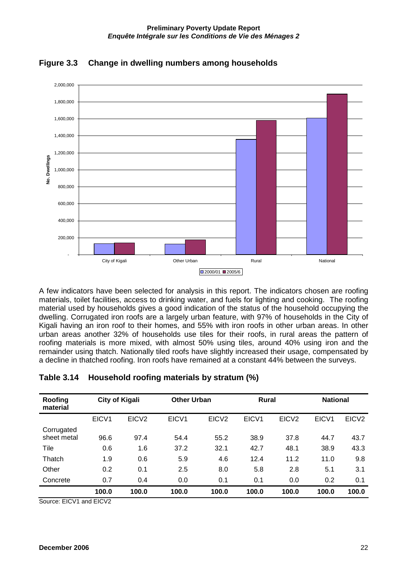



A few indicators have been selected for analysis in this report. The indicators chosen are roofing materials, toilet facilities, access to drinking water, and fuels for lighting and cooking. The roofing material used by households gives a good indication of the status of the household occupying the dwelling. Corrugated iron roofs are a largely urban feature, with 97% of households in the City of Kigali having an iron roof to their homes, and 55% with iron roofs in other urban areas. In other urban areas another 32% of households use tiles for their roofs, in rural areas the pattern of roofing materials is more mixed, with almost 50% using tiles, around 40% using iron and the remainder using thatch. Nationally tiled roofs have slightly increased their usage, compensated by a decline in thatched roofing. Iron roofs have remained at a constant 44% between the surveys.

| Roofing<br>material       | <b>City of Kigali</b> |                   |       | <b>Other Urban</b> |       | <b>Rural</b>      | <b>National</b> |                   |  |
|---------------------------|-----------------------|-------------------|-------|--------------------|-------|-------------------|-----------------|-------------------|--|
|                           | EICV1                 | EICV <sub>2</sub> | EICV1 | EICV <sub>2</sub>  | EICV1 | EICV <sub>2</sub> | EICV1           | EICV <sub>2</sub> |  |
| Corrugated<br>sheet metal | 96.6                  | 97.4              | 54.4  | 55.2               | 38.9  | 37.8              | 44.7            | 43.7              |  |
| Tile                      | 0.6                   | 1.6               | 37.2  | 32.1               | 42.7  | 48.1              | 38.9            | 43.3              |  |
| Thatch                    | 1.9                   | 0.6               | 5.9   | 4.6                | 12.4  | 11.2              | 11.0            | 9.8               |  |
| Other                     | 0.2                   | 0.1               | 2.5   | 8.0                | 5.8   | 2.8               | 5.1             | 3.1               |  |
| Concrete                  | 0.7                   | 0.4               | 0.0   | 0.1                | 0.1   | 0.0               | 0.2             | 0.1               |  |
|                           | 100.0                 | 100.0             | 100.0 | 100.0              | 100.0 | 100.0             | 100.0           | 100.0             |  |

#### **Table 3.14 Household roofing materials by stratum (%)**

Source: EICV1 and EICV2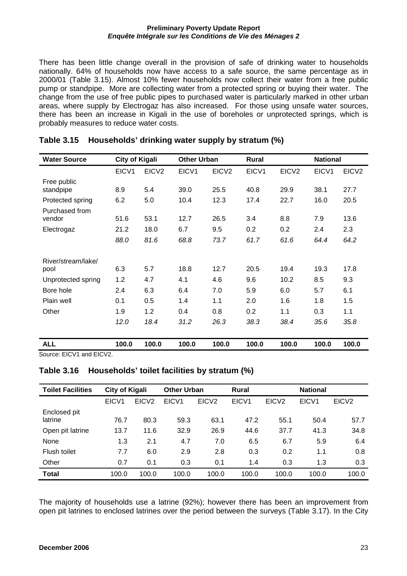There has been little change overall in the provision of safe of drinking water to households nationally. 64% of households now have access to a safe source, the same percentage as in 2000/01 (Table 3.15). Almost 10% fewer households now collect their water from a free public pump or standpipe. More are collecting water from a protected spring or buying their water. The change from the use of free public pipes to purchased water is particularly marked in other urban areas, where supply by Electrogaz has also increased. For those using unsafe water sources, there has been an increase in Kigali in the use of boreholes or unprotected springs, which is probably measures to reduce water costs.

| <b>Water Source</b>        | <b>City of Kigali</b> |                   | <b>Other Urban</b> |                   | <b>Rural</b> |                   | <b>National</b> |                   |
|----------------------------|-----------------------|-------------------|--------------------|-------------------|--------------|-------------------|-----------------|-------------------|
|                            | EICV1                 | EICV <sub>2</sub> | EICV1              | EICV <sub>2</sub> | EICV1        | EICV <sub>2</sub> | EICV1           | EICV <sub>2</sub> |
| Free public<br>standpipe   | 8.9                   | 5.4               | 39.0               | 25.5              | 40.8         | 29.9              | 38.1            | 27.7              |
| Protected spring           | 6.2                   | 5.0               | 10.4               | 12.3              | 17.4         | 22.7              | 16.0            | 20.5              |
| Purchased from<br>vendor   | 51.6                  | 53.1              | 12.7               | 26.5              | 3.4          | 8.8               | 7.9             | 13.6              |
| Electrogaz                 | 21.2                  | 18.0              | 6.7                | 9.5               | 0.2          | 0.2               | 2.4             | 2.3               |
|                            | 88.0                  | 81.6              | 68.8               | 73.7              | 61.7         | 61.6              | 64.4            | 64.2              |
| River/stream/lake/<br>pool | 6.3                   | 5.7               | 18.8               | 12.7              | 20.5         | 19.4              | 19.3            | 17.8              |
| Unprotected spring         | 1.2                   | 4.7               | 4.1                | 4.6               | 9.6          | 10.2              | 8.5             | 9.3               |
| Bore hole                  | 2.4                   | 6.3               | 6.4                | 7.0               | 5.9          | 6.0               | 5.7             | 6.1               |
| Plain well                 | 0.1                   | 0.5               | 1.4                | 1.1               | 2.0          | 1.6               | 1.8             | 1.5               |
| Other                      | 1.9                   | 1.2               | 0.4                | 0.8               | 0.2          | 1.1               | 0.3             | 1.1               |
|                            | 12.0                  | 18.4              | 31.2               | 26.3              | 38.3         | 38.4              | 35.6            | 35.8              |
| <b>ALL</b>                 | 100.0                 | 100.0             | 100.0              | 100.0             | 100.0        | 100.0             | 100.0           | 100.0             |

#### **Table 3.15 Households' drinking water supply by stratum (%)**

Source: EICV1 and EICV2.

#### **Table 3.16 Households' toilet facilities by stratum (%)**

| <b>Toilet Facilities</b> | City of Kigali    |                   | <b>Other Urban</b> |                   | <b>Rural</b>      | <b>National</b>   |       |                   |
|--------------------------|-------------------|-------------------|--------------------|-------------------|-------------------|-------------------|-------|-------------------|
|                          | EICV <sub>1</sub> | EICV <sub>2</sub> | EICV <sub>1</sub>  | EICV <sub>2</sub> | EICV <sub>1</sub> | EICV <sub>2</sub> | EICV1 | EICV <sub>2</sub> |
| Enclosed pit             |                   |                   |                    |                   |                   |                   |       |                   |
| latrine                  | 76.7              | 80.3              | 59.3               | 63.1              | 47.2              | 55.1              | 50.4  | 57.7              |
| Open pit latrine         | 13.7              | 11.6              | 32.9               | 26.9              | 44.6              | 37.7              | 41.3  | 34.8              |
| None                     | 1.3               | 2.1               | 4.7                | 7.0               | 6.5               | 6.7               | 5.9   | 6.4               |
| Flush toilet             | 7.7               | 6.0               | 2.9                | 2.8               | 0.3               | 0.2               | 1.1   | 0.8               |
| Other                    | 0.7               | 0.1               | 0.3                | 0.1               | 1.4               | 0.3               | 1.3   | 0.3               |
| <b>Total</b>             | 100.0             | 100.0             | 100.0              | 100.0             | 100.0             | 100.0             | 100.0 | 100.0             |

The majority of households use a latrine (92%); however there has been an improvement from open pit latrines to enclosed latrines over the period between the surveys (Table 3.17). In the City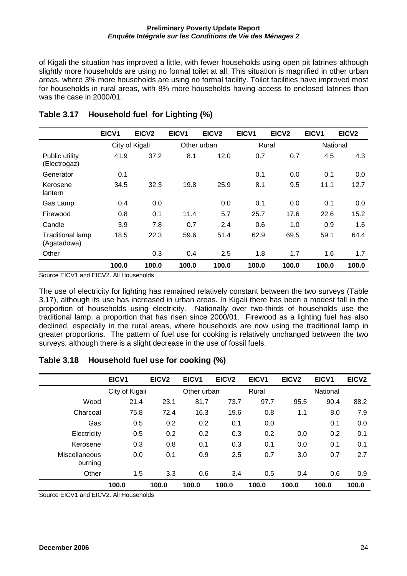of Kigali the situation has improved a little, with fewer households using open pit latrines although slightly more households are using no formal toilet at all. This situation is magnified in other urban areas, where 3% more households are using no formal facility. Toilet facilities have improved most for households in rural areas, with 8% more households having access to enclosed latrines than was the case in 2000/01.

|                                        | EICV1 | EICV <sub>2</sub> | EICV1 | EICV <sub>2</sub> | EICV1 | EICV <sub>2</sub> | EICV1 | EICV <sub>2</sub> |
|----------------------------------------|-------|-------------------|-------|-------------------|-------|-------------------|-------|-------------------|
|                                        |       | City of Kigali    |       | Other urban       |       | Rural             |       | National          |
| Public utility<br>(Electrogaz)         | 41.9  | 37.2              | 8.1   | 12.0              | 0.7   | 0.7               | 4.5   | 4.3               |
| Generator                              | 0.1   |                   |       |                   | 0.1   | 0.0               | 0.1   | 0.0               |
| Kerosene<br>lantern                    | 34.5  | 32.3              | 19.8  | 25.9              | 8.1   | 9.5               | 11.1  | 12.7              |
| Gas Lamp                               | 0.4   | 0.0               |       | 0.0               | 0.1   | 0.0               | 0.1   | 0.0               |
| Firewood                               | 0.8   | 0.1               | 11.4  | 5.7               | 25.7  | 17.6              | 22.6  | 15.2              |
| Candle                                 | 3.9   | 7.8               | 0.7   | 2.4               | 0.6   | 1.0               | 0.9   | 1.6               |
| <b>Traditional lamp</b><br>(Agatadowa) | 18.5  | 22.3              | 59.6  | 51.4              | 62.9  | 69.5              | 59.1  | 64.4              |
| Other                                  |       | 0.3               | 0.4   | 2.5               | 1.8   | 1.7               | 1.6   | 1.7               |
|                                        | 100.0 | 100.0             | 100.0 | 100.0             | 100.0 | 100.0             | 100.0 | 100.0             |

### **Table 3.17 Household fuel for Lighting (%)**

Source EICV1 and EICV2. All Households

The use of electricity for lighting has remained relatively constant between the two surveys (Table 3.17), although its use has increased in urban areas. In Kigali there has been a modest fall in the proportion of households using electricity. Nationally over two-thirds of households use the traditional lamp, a proportion that has risen since 2000/01. Firewood as a lighting fuel has also declined, especially in the rural areas, where households are now using the traditional lamp in greater proportions. The pattern of fuel use for cooking is relatively unchanged between the two surveys, although there is a slight decrease in the use of fossil fuels.

#### **Table 3.18 Household fuel use for cooking (%)**

|                          | EICV1          | EICV <sub>2</sub> | EICV <sub>1</sub> | EICV <sub>2</sub> | EICV1 | EICV <sub>2</sub> | EICV1    | EICV <sub>2</sub> |
|--------------------------|----------------|-------------------|-------------------|-------------------|-------|-------------------|----------|-------------------|
|                          | City of Kigali |                   | Other urban       |                   | Rural |                   | National |                   |
| Wood                     | 21.4           | 23.1              | 81.7              | 73.7              | 97.7  | 95.5              | 90.4     | 88.2              |
| Charcoal                 | 75.8           | 72.4              | 16.3              | 19.6              | 0.8   | 1.1               | 8.0      | 7.9               |
| Gas                      | 0.5            | 0.2               | 0.2               | 0.1               | 0.0   |                   | 0.1      | 0.0               |
| Electricity              | 0.5            | 0.2               | 0.2               | 0.3               | 0.2   | 0.0               | 0.2      | 0.1               |
| Kerosene                 | 0.3            | 0.8               | 0.1               | 0.3               | 0.1   | 0.0               | 0.1      | 0.1               |
| Miscellaneous<br>burning | 0.0            | 0.1               | 0.9               | 2.5               | 0.7   | 3.0               | 0.7      | 2.7               |
| Other                    | 1.5            | 3.3               | 0.6               | 3.4               | 0.5   | 0.4               | 0.6      | 0.9               |
|                          | 100.0          | 100.0             | 100.0             | 100.0             | 100.0 | 100.0             | 100.0    | 100.0             |

Source EICV1 and EICV2. All Households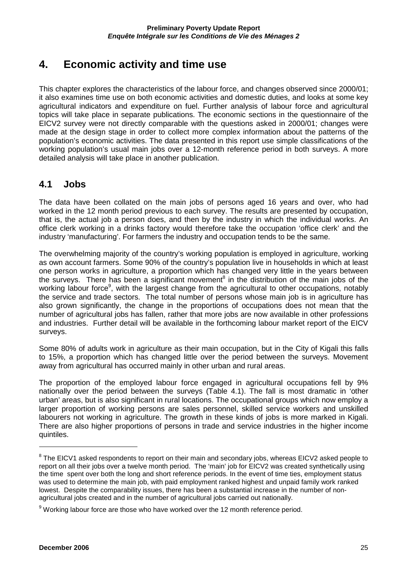# **4. Economic activity and time use**

This chapter explores the characteristics of the labour force, and changes observed since 2000/01; it also examines time use on both economic activities and domestic duties, and looks at some key agricultural indicators and expenditure on fuel. Further analysis of labour force and agricultural topics will take place in separate publications. The economic sections in the questionnaire of the EICV2 survey were not directly comparable with the questions asked in 2000/01; changes were made at the design stage in order to collect more complex information about the patterns of the population's economic activities. The data presented in this report use simple classifications of the working population's usual main jobs over a 12-month reference period in both surveys. A more detailed analysis will take place in another publication.

### **4.1 Jobs**

The data have been collated on the main jobs of persons aged 16 years and over, who had worked in the 12 month period previous to each survey. The results are presented by occupation, that is, the actual job a person does, and then by the industry in which the individual works. An office clerk working in a drinks factory would therefore take the occupation 'office clerk' and the industry 'manufacturing'. For farmers the industry and occupation tends to be the same.

The overwhelming majority of the country's working population is employed in agriculture, working as own account farmers. Some 90% of the country's population live in households in which at least one person works in agriculture, a proportion which has changed very little in the years between the surveys. There has been a significant movement<sup>8</sup> in the distribution of the main jobs of the working labour force<sup>9</sup>, with the largest change from the agricultural to other occupations, notably the service and trade sectors. The total number of persons whose main job is in agriculture has also grown significantly, the change in the proportions of occupations does not mean that the number of agricultural jobs has fallen, rather that more jobs are now available in other professions and industries. Further detail will be available in the forthcoming labour market report of the EICV surveys.

Some 80% of adults work in agriculture as their main occupation, but in the City of Kigali this falls to 15%, a proportion which has changed little over the period between the surveys. Movement away from agricultural has occurred mainly in other urban and rural areas.

The proportion of the employed labour force engaged in agricultural occupations fell by 9% nationally over the period between the surveys (Table 4.1). The fall is most dramatic in 'other urban' areas, but is also significant in rural locations. The occupational groups which now employ a larger proportion of working persons are sales personnel, skilled service workers and unskilled labourers not working in agriculture. The growth in these kinds of jobs is more marked in Kigali. There are also higher proportions of persons in trade and service industries in the higher income quintiles.

 $\overline{a}$ 

 $^8$  The EICV1 asked respondents to report on their main and secondary jobs, whereas EICV2 asked people to report on all their jobs over a twelve month period. The 'main' job for EICV2 was created synthetically using the time spent over both the long and short reference periods. In the event of time ties, employment status was used to determine the main job, with paid employment ranked highest and unpaid family work ranked lowest. Despite the comparability issues, there has been a substantial increase in the number of nonagricultural jobs created and in the number of agricultural jobs carried out nationally.

 $9$  Working labour force are those who have worked over the 12 month reference period.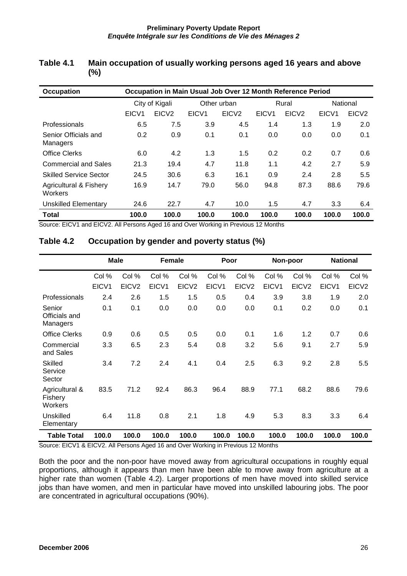| <b>Occupation</b>                            |                   | Occupation in Main Usual Job Over 12 Month Reference Period |                   |                   |       |                   |                   |                   |  |  |
|----------------------------------------------|-------------------|-------------------------------------------------------------|-------------------|-------------------|-------|-------------------|-------------------|-------------------|--|--|
|                                              | City of Kigali    |                                                             |                   | Other urban       |       | Rural             | National          |                   |  |  |
|                                              | EICV <sub>1</sub> | EICV <sub>2</sub>                                           | EICV <sub>1</sub> | EICV <sub>2</sub> | EICV1 | EICV <sub>2</sub> | EICV <sub>1</sub> | EICV <sub>2</sub> |  |  |
| Professionals                                | 6.5               | 7.5                                                         | 3.9               | 4.5               | 1.4   | 1.3               | 1.9               | 2.0               |  |  |
| Senior Officials and<br>Managers             | 0.2               | 0.9                                                         | 0.1               | 0.1               | 0.0   | 0.0               | 0.0               | 0.1               |  |  |
| <b>Office Clerks</b>                         | 6.0               | 4.2                                                         | 1.3               | 1.5               | 0.2   | 0.2               | 0.7               | 0.6               |  |  |
| <b>Commercial and Sales</b>                  | 21.3              | 19.4                                                        | 4.7               | 11.8              | 1.1   | 4.2               | 2.7               | 5.9               |  |  |
| <b>Skilled Service Sector</b>                | 24.5              | 30.6                                                        | 6.3               | 16.1              | 0.9   | 2.4               | 2.8               | 5.5               |  |  |
| <b>Agricultural &amp; Fishery</b><br>Workers | 16.9              | 14.7                                                        | 79.0              | 56.0              | 94.8  | 87.3              | 88.6              | 79.6              |  |  |
| Unskilled Elementary                         | 24.6              | 22.7                                                        | 4.7               | 10.0              | 1.5   | 4.7               | 3.3               | 6.4               |  |  |
| <b>Total</b>                                 | 100.0             | 100.0                                                       | 100.0             | 100.0             | 100.0 | 100.0             | 100.0             | 100.0             |  |  |

#### **Table 4.1 Main occupation of usually working persons aged 16 years and above (%)**

Source: EICV1 and EICV2. All Persons Aged 16 and Over Working in Previous 12 Months

|                                      | <b>Male</b> |                   | <b>Female</b> |                   | Poor  |                   |       | Non-poor          | <b>National</b> |                   |
|--------------------------------------|-------------|-------------------|---------------|-------------------|-------|-------------------|-------|-------------------|-----------------|-------------------|
|                                      | Col %       | Col %             | Col %         | Col %             | Col % | Col %             | Col % | Col %             | Col %           | Col %             |
|                                      | EICV1       | EICV <sub>2</sub> | EICV1         | EICV <sub>2</sub> | EICV1 | EICV <sub>2</sub> | EICV1 | EICV <sub>2</sub> | EICV1           | EICV <sub>2</sub> |
| Professionals                        | 2.4         | 2.6               | 1.5           | 1.5               | 0.5   | 0.4               | 3.9   | 3.8               | 1.9             | 2.0               |
| Senior<br>Officials and<br>Managers  | 0.1         | 0.1               | 0.0           | 0.0               | 0.0   | 0.0               | 0.1   | 0.2               | 0.0             | 0.1               |
| <b>Office Clerks</b>                 | 0.9         | 0.6               | 0.5           | 0.5               | 0.0   | 0.1               | 1.6   | 1.2               | 0.7             | 0.6               |
| Commercial<br>and Sales              | 3.3         | 6.5               | 2.3           | 5.4               | 0.8   | 3.2               | 5.6   | 9.1               | 2.7             | 5.9               |
| <b>Skilled</b><br>Service<br>Sector  | 3.4         | 7.2               | 2.4           | 4.1               | 0.4   | 2.5               | 6.3   | 9.2               | 2.8             | 5.5               |
| Agricultural &<br>Fishery<br>Workers | 83.5        | 71.2              | 92.4          | 86.3              | 96.4  | 88.9              | 77.1  | 68.2              | 88.6            | 79.6              |
| Unskilled<br>Elementary              | 6.4         | 11.8              | 0.8           | 2.1               | 1.8   | 4.9               | 5.3   | 8.3               | 3.3             | 6.4               |
| <b>Table Total</b>                   | 100.0       | 100.0             | 100.0         | 100.0             | 100.0 | 100.0             | 100.0 | 100.0             | 100.0           | 100.0             |

### **Table 4.2 Occupation by gender and poverty status (%)**

Source: EICV1 & EICV2. All Persons Aged 16 and Over Working in Previous 12 Months

Both the poor and the non-poor have moved away from agricultural occupations in roughly equal proportions, although it appears than men have been able to move away from agriculture at a higher rate than women (Table 4.2). Larger proportions of men have moved into skilled service jobs than have women, and men in particular have moved into unskilled labouring jobs. The poor are concentrated in agricultural occupations (90%).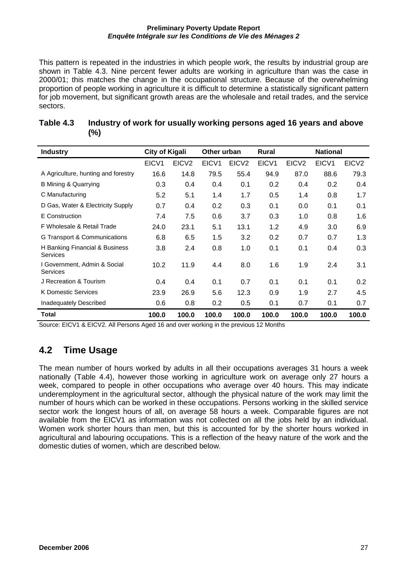This pattern is repeated in the industries in which people work, the results by industrial group are shown in Table 4.3. Nine percent fewer adults are working in agriculture than was the case in 2000/01; this matches the change in the occupational structure. Because of the overwhelming proportion of people working in agriculture it is difficult to determine a statistically significant pattern for job movement, but significant growth areas are the wholesale and retail trades, and the service sectors.

| <b>Industry</b>                            | <b>City of Kigali</b> |                   | Other urban |                   | <b>Rural</b> |                   | <b>National</b>   |                   |
|--------------------------------------------|-----------------------|-------------------|-------------|-------------------|--------------|-------------------|-------------------|-------------------|
|                                            | EICV <sub>1</sub>     | EICV <sub>2</sub> | EICV1       | EICV <sub>2</sub> | EICV1        | EICV <sub>2</sub> | EICV <sub>1</sub> | EICV <sub>2</sub> |
| A Agriculture, hunting and forestry        | 16.6                  | 14.8              | 79.5        | 55.4              | 94.9         | 87.0              | 88.6              | 79.3              |
| <b>B Mining &amp; Quarrying</b>            | 0.3                   | 0.4               | 0.4         | 0.1               | 0.2          | 0.4               | 0.2               | 0.4               |
| C Manufacturing                            | 5.2                   | 5.1               | 1.4         | 1.7               | 0.5          | 1.4               | 0.8               | 1.7               |
| D Gas, Water & Electricity Supply          | 0.7                   | 0.4               | 0.2         | 0.3               | 0.1          | 0.0               | 0.1               | 0.1               |
| E Construction                             | 7.4                   | 7.5               | 0.6         | 3.7               | 0.3          | 1.0               | 0.8               | 1.6               |
| F Wholesale & Retail Trade                 | 24.0                  | 23.1              | 5.1         | 13.1              | 1.2          | 4.9               | 3.0               | 6.9               |
| G Transport & Communications               | 6.8                   | 6.5               | 1.5         | 3.2               | 0.2          | 0.7               | 0.7               | 1.3               |
| H Banking Financial & Business<br>Services | 3.8                   | 2.4               | 0.8         | 1.0               | 0.1          | 0.1               | 0.4               | 0.3               |
| I Government, Admin & Social<br>Services   | 10.2                  | 11.9              | 4.4         | 8.0               | 1.6          | 1.9               | 2.4               | 3.1               |
| J Recreation & Tourism                     | 0.4                   | 0.4               | 0.1         | 0.7               | 0.1          | 0.1               | 0.1               | 0.2               |
| <b>K Domestic Services</b>                 | 23.9                  | 26.9              | 5.6         | 12.3              | 0.9          | 1.9               | 2.7               | 4.5               |
| Inadequately Described                     | 0.6                   | 0.8               | 0.2         | 0.5               | 0.1          | 0.7               | 0.1               | 0.7               |
| Total                                      | 100.0                 | 100.0             | 100.0       | 100.0             | 100.0        | 100.0             | 100.0             | 100.0             |

### **Table 4.3 Industry of work for usually working persons aged 16 years and above (%)**

Source: EICV1 & EICV2. All Persons Aged 16 and over working in the previous 12 Months

# **4.2 Time Usage**

The mean number of hours worked by adults in all their occupations averages 31 hours a week nationally (Table 4.4), however those working in agriculture work on average only 27 hours a week, compared to people in other occupations who average over 40 hours. This may indicate underemployment in the agricultural sector, although the physical nature of the work may limit the number of hours which can be worked in these occupations. Persons working in the skilled service sector work the longest hours of all, on average 58 hours a week. Comparable figures are not available from the EICV1 as information was not collected on all the jobs held by an individual. Women work shorter hours than men, but this is accounted for by the shorter hours worked in agricultural and labouring occupations. This is a reflection of the heavy nature of the work and the domestic duties of women, which are described below.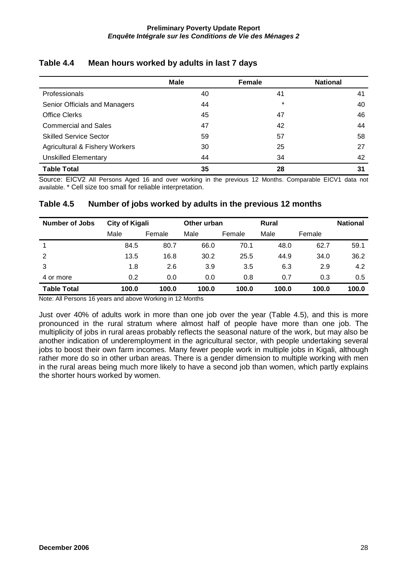|                                           | <b>Male</b> | Female  | <b>National</b> |
|-------------------------------------------|-------------|---------|-----------------|
| Professionals                             | 40          | 41      | 41              |
| Senior Officials and Managers             | 44          | $\star$ | 40              |
| <b>Office Clerks</b>                      | 45          | 47      | 46              |
| <b>Commercial and Sales</b>               | 47          | 42      | 44              |
| <b>Skilled Service Sector</b>             | 59          | 57      | 58              |
| <b>Agricultural &amp; Fishery Workers</b> | 30          | 25      | 27              |
| <b>Unskilled Elementary</b>               | 44          | 34      | 42              |
| <b>Table Total</b>                        | 35          | 28      | 31              |

### **Table 4.4 Mean hours worked by adults in last 7 days**

Source: EICV2 All Persons Aged 16 and over working in the previous 12 Months. Comparable EICV1 data not available. \* Cell size too small for reliable interpretation.

### **Table 4.5 Number of jobs worked by adults in the previous 12 months**

| <b>Number of Jobs</b> | <b>City of Kigali</b> |        | Other urban |        | <b>Rural</b> |        | <b>National</b> |
|-----------------------|-----------------------|--------|-------------|--------|--------------|--------|-----------------|
|                       | Male                  | Female | Male        | Female | Male         | Female |                 |
|                       | 84.5                  | 80.7   | 66.0        | 70.1   | 48.0         | 62.7   | 59.1            |
| 2                     | 13.5                  | 16.8   | 30.2        | 25.5   | 44.9         | 34.0   | 36.2            |
| 3                     | 1.8                   | 2.6    | 3.9         | 3.5    | 6.3          | 2.9    | 4.2             |
| 4 or more             | 0.2                   | 0.0    | 0.0         | 0.8    | 0.7          | 0.3    | 0.5             |
| <b>Table Total</b>    | 100.0                 | 100.0  | 100.0       | 100.0  | 100.0        | 100.0  | 100.0           |

Note: All Persons 16 years and above Working in 12 Months

Just over 40% of adults work in more than one job over the year (Table 4.5), and this is more pronounced in the rural stratum where almost half of people have more than one job. The multiplicity of jobs in rural areas probably reflects the seasonal nature of the work, but may also be another indication of underemployment in the agricultural sector, with people undertaking several jobs to boost their own farm incomes. Many fewer people work in multiple jobs in Kigali, although rather more do so in other urban areas. There is a gender dimension to multiple working with men in the rural areas being much more likely to have a second job than women, which partly explains the shorter hours worked by women.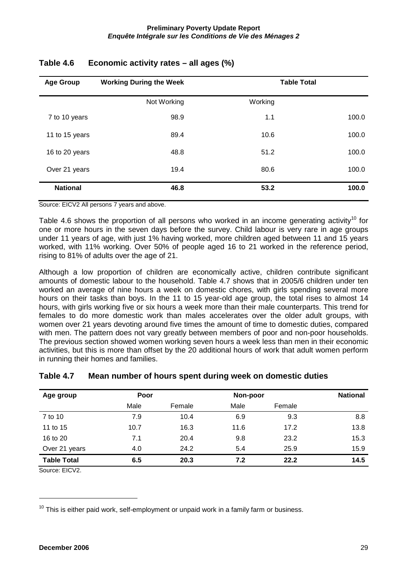| <b>Age Group</b> | <b>Working During the Week</b> |         |       |  |
|------------------|--------------------------------|---------|-------|--|
|                  | Not Working                    | Working |       |  |
| 7 to 10 years    | 98.9                           | 1.1     | 100.0 |  |
| 11 to 15 years   | 89.4                           | 10.6    | 100.0 |  |
| 16 to 20 years   | 48.8                           | 51.2    | 100.0 |  |
| Over 21 years    | 19.4                           | 80.6    | 100.0 |  |
| <b>National</b>  | 46.8                           | 53.2    | 100.0 |  |

### **Table 4.6 Economic activity rates – all ages (%)**

Source: EICV2 All persons 7 years and above.

Table 4.6 shows the proportion of all persons who worked in an income generating activity<sup>10</sup> for one or more hours in the seven days before the survey. Child labour is very rare in age groups under 11 years of age, with just 1% having worked, more children aged between 11 and 15 years worked, with 11% working. Over 50% of people aged 16 to 21 worked in the reference period, rising to 81% of adults over the age of 21.

Although a low proportion of children are economically active, children contribute significant amounts of domestic labour to the household. Table 4.7 shows that in 2005/6 children under ten worked an average of nine hours a week on domestic chores, with girls spending several more hours on their tasks than boys. In the 11 to 15 year-old age group, the total rises to almost 14 hours, with girls working five or six hours a week more than their male counterparts. This trend for females to do more domestic work than males accelerates over the older adult groups, with women over 21 years devoting around five times the amount of time to domestic duties, compared with men. The pattern does not vary greatly between members of poor and non-poor households. The previous section showed women working seven hours a week less than men in their economic activities, but this is more than offset by the 20 additional hours of work that adult women perform in running their homes and families.

| Age group          | Poor |        | Non-poor |        | <b>National</b> |
|--------------------|------|--------|----------|--------|-----------------|
|                    | Male | Female | Male     | Female |                 |
| 7 to 10            | 7.9  | 10.4   | 6.9      | 9.3    | 8.8             |
| 11 to 15           | 10.7 | 16.3   | 11.6     | 17.2   | 13.8            |
| 16 to 20           | 7.1  | 20.4   | 9.8      | 23.2   | 15.3            |
| Over 21 years      | 4.0  | 24.2   | 5.4      | 25.9   | 15.9            |
| <b>Table Total</b> | 6.5  | 20.3   | 7.2      | 22.2   | 14.5            |

#### **Table 4.7 Mean number of hours spent during week on domestic duties**

Source: EICV2.

 $\overline{a}$ 

 $10$  This is either paid work, self-employment or unpaid work in a family farm or business.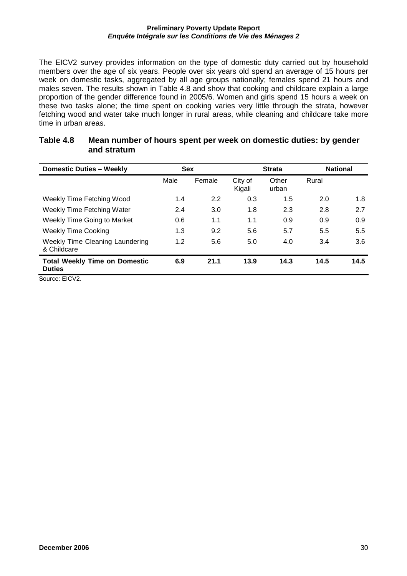The EICV2 survey provides information on the type of domestic duty carried out by household members over the age of six years. People over six years old spend an average of 15 hours per week on domestic tasks, aggregated by all age groups nationally; females spend 21 hours and males seven. The results shown in Table 4.8 and show that cooking and childcare explain a large proportion of the gender difference found in 2005/6. Women and girls spend 15 hours a week on these two tasks alone; the time spent on cooking varies very little through the strata, however fetching wood and water take much longer in rural areas, while cleaning and childcare take more time in urban areas.

| <b>Domestic Duties - Weekly</b>                       | <b>Sex</b> |        | <b>Strata</b>     |                | <b>National</b> |      |
|-------------------------------------------------------|------------|--------|-------------------|----------------|-----------------|------|
|                                                       | Male       | Female | City of<br>Kigali | Other<br>urban | Rural           |      |
| Weekly Time Fetching Wood                             | 1.4        | 2.2    | 0.3               | 1.5            | 2.0             | 1.8  |
| Weekly Time Fetching Water                            | 2.4        | 3.0    | 1.8               | 2.3            | 2.8             | 2.7  |
| <b>Weekly Time Going to Market</b>                    | 0.6        | 1.1    | 1.1               | 0.9            | 0.9             | 0.9  |
| <b>Weekly Time Cooking</b>                            | 1.3        | 9.2    | 5.6               | 5.7            | 5.5             | 5.5  |
| <b>Weekly Time Cleaning Laundering</b><br>& Childcare | 1.2        | 5.6    | 5.0               | 4.0            | 3.4             | 3.6  |
| <b>Total Weekly Time on Domestic</b><br><b>Duties</b> | 6.9        | 21.1   | 13.9              | 14.3           | 14.5            | 14.5 |

#### **Table 4.8 Mean number of hours spent per week on domestic duties: by gender and stratum**

Source: EICV2.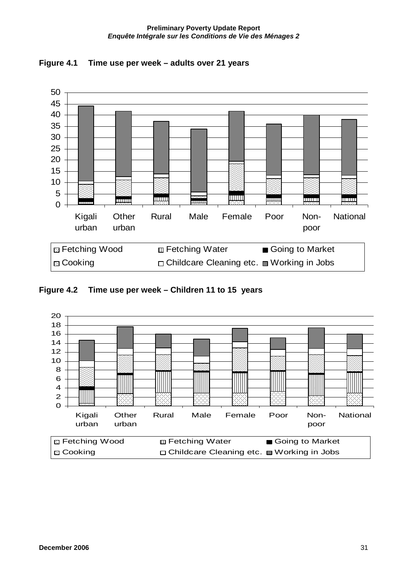

**Figure 4.1 Time use per week – adults over 21 years**

### **Figure 4.2 Time use per week – Children 11 to 15 years**

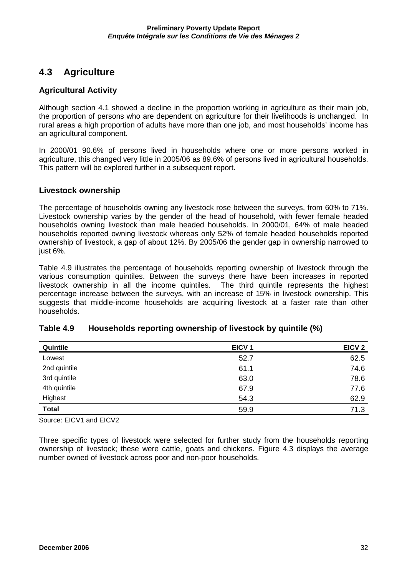## **4.3 Agriculture**

#### **Agricultural Activity**

Although section 4.1 showed a decline in the proportion working in agriculture as their main job, the proportion of persons who are dependent on agriculture for their livelihoods is unchanged. In rural areas a high proportion of adults have more than one job, and most households' income has an agricultural component.

In 2000/01 90.6% of persons lived in households where one or more persons worked in agriculture, this changed very little in 2005/06 as 89.6% of persons lived in agricultural households. This pattern will be explored further in a subsequent report.

#### **Livestock ownership**

The percentage of households owning any livestock rose between the surveys, from 60% to 71%. Livestock ownership varies by the gender of the head of household, with fewer female headed households owning livestock than male headed households. In 2000/01, 64% of male headed households reported owning livestock whereas only 52% of female headed households reported ownership of livestock, a gap of about 12%. By 2005/06 the gender gap in ownership narrowed to just 6%.

Table 4.9 illustrates the percentage of households reporting ownership of livestock through the various consumption quintiles. Between the surveys there have been increases in reported livestock ownership in all the income quintiles. The third quintile represents the highest percentage increase between the surveys, with an increase of 15% in livestock ownership. This suggests that middle-income households are acquiring livestock at a faster rate than other households.

| Quintile     | EICV <sub>1</sub> | EICV <sub>2</sub> |
|--------------|-------------------|-------------------|
| Lowest       | 52.7              | 62.5              |
| 2nd quintile | 61.1              | 74.6              |
| 3rd quintile | 63.0              | 78.6              |
| 4th quintile | 67.9              | 77.6              |
| Highest      | 54.3              | 62.9              |
| <b>Total</b> | 59.9              | 71.3              |

#### **Table 4.9 Households reporting ownership of livestock by quintile (%)**

Source: EICV1 and EICV2

Three specific types of livestock were selected for further study from the households reporting ownership of livestock; these were cattle, goats and chickens. Figure 4.3 displays the average number owned of livestock across poor and non-poor households.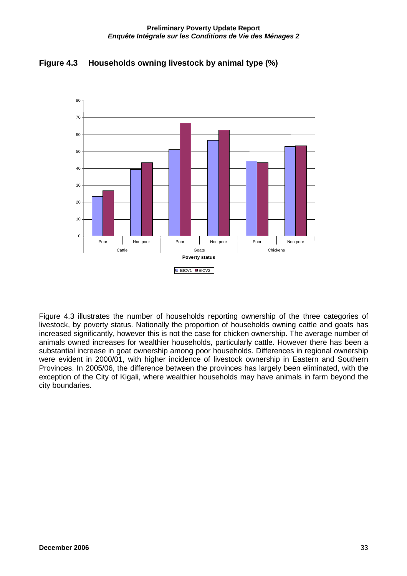



Figure 4.3 illustrates the number of households reporting ownership of the three categories of livestock, by poverty status. Nationally the proportion of households owning cattle and goats has increased significantly, however this is not the case for chicken ownership. The average number of animals owned increases for wealthier households, particularly cattle. However there has been a substantial increase in goat ownership among poor households. Differences in regional ownership were evident in 2000/01, with higher incidence of livestock ownership in Eastern and Southern Provinces. In 2005/06, the difference between the provinces has largely been eliminated, with the exception of the City of Kigali, where wealthier households may have animals in farm beyond the city boundaries.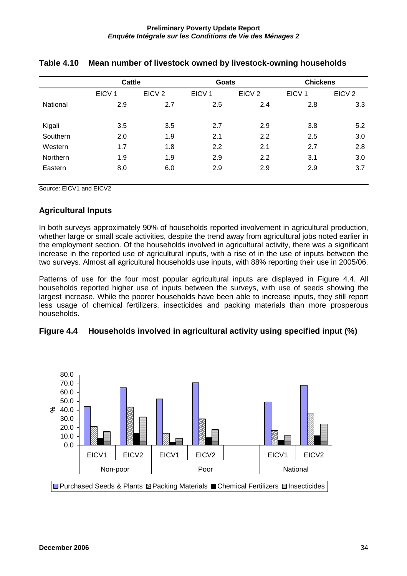|          | <b>Cattle</b>     |                   | <b>Goats</b>      |                   | <b>Chickens</b>   |                   |  |
|----------|-------------------|-------------------|-------------------|-------------------|-------------------|-------------------|--|
|          | EICV <sub>1</sub> | EICV <sub>2</sub> | EICV <sub>1</sub> | EICV <sub>2</sub> | EICV <sub>1</sub> | EICV <sub>2</sub> |  |
| National | 2.9               | 2.7               | 2.5               | 2.4               | 2.8               | 3.3               |  |
| Kigali   | 3.5               | 3.5               | 2.7               | 2.9               | 3.8               | 5.2               |  |
| Southern | 2.0               | 1.9               | 2.1               | 2.2               | 2.5               | 3.0               |  |
| Western  | 1.7               | 1.8               | 2.2               | 2.1               | 2.7               | 2.8               |  |
| Northern | 1.9               | 1.9               | 2.9               | 2.2               | 3.1               | 3.0               |  |
| Eastern  | 8.0               | 6.0               | 2.9               | 2.9               | 2.9               | 3.7               |  |
|          |                   |                   |                   |                   |                   |                   |  |

### **Table 4.10 Mean number of livestock owned by livestock-owning households**

Source: EICV1 and EICV2

#### **Agricultural Inputs**

In both surveys approximately 90% of households reported involvement in agricultural production, whether large or small scale activities, despite the trend away from agricultural jobs noted earlier in the employment section. Of the households involved in agricultural activity, there was a significant increase in the reported use of agricultural inputs, with a rise of in the use of inputs between the two surveys. Almost all agricultural households use inputs, with 88% reporting their use in 2005/06.

Patterns of use for the four most popular agricultural inputs are displayed in Figure 4.4. All households reported higher use of inputs between the surveys, with use of seeds showing the largest increase. While the poorer households have been able to increase inputs, they still report less usage of chemical fertilizers, insecticides and packing materials than more prosperous households.



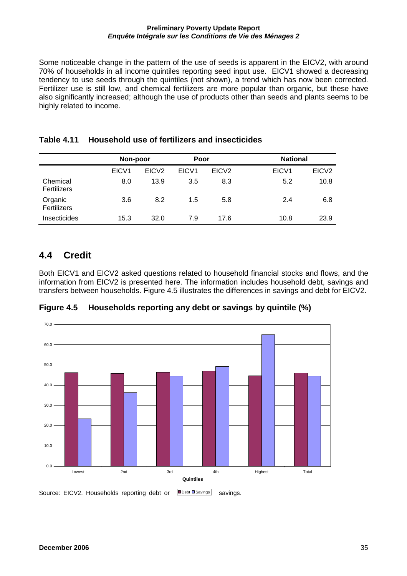Some noticeable change in the pattern of the use of seeds is apparent in the EICV2, with around 70% of households in all income quintiles reporting seed input use. EICV1 showed a decreasing tendency to use seeds through the quintiles (not shown), a trend which has now been corrected. Fertilizer use is still low, and chemical fertilizers are more popular than organic, but these have also significantly increased; although the use of products other than seeds and plants seems to be highly related to income.

|                         | Non-poor          |                   | Poor              |                   | <b>National</b>   |                   |
|-------------------------|-------------------|-------------------|-------------------|-------------------|-------------------|-------------------|
|                         | EICV <sub>1</sub> | EICV <sub>2</sub> | EICV <sub>1</sub> | EICV <sub>2</sub> | EICV <sub>1</sub> | EICV <sub>2</sub> |
| Chemical<br>Fertilizers | 8.0               | 13.9              | 3.5               | 8.3               | 5.2               | 10.8              |
| Organic<br>Fertilizers  | 3.6               | 8.2               | 1.5               | 5.8               | 2.4               | 6.8               |
| Insecticides            | 15.3              | 32.0              | 7.9               | 17.6              | 10.8              | 23.9              |

### **Table 4.11 Household use of fertilizers and insecticides**

## **4.4 Credit**

Both EICV1 and EICV2 asked questions related to household financial stocks and flows, and the information from EICV2 is presented here. The information includes household debt, savings and transfers between households. Figure 4.5 illustrates the differences in savings and debt for EICV2.



**Figure 4.5 Households reporting any debt or savings by quintile (%)**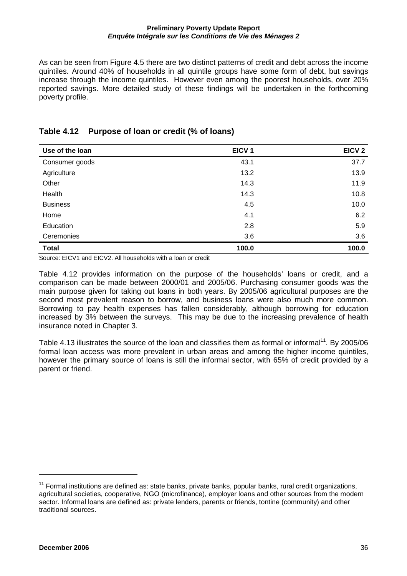As can be seen from Figure 4.5 there are two distinct patterns of credit and debt across the income quintiles. Around 40% of households in all quintile groups have some form of debt, but savings increase through the income quintiles. However even among the poorest households, over 20% reported savings. More detailed study of these findings will be undertaken in the forthcoming poverty profile.

| Use of the loan | EICV <sub>1</sub> | EICV <sub>2</sub> |
|-----------------|-------------------|-------------------|
| Consumer goods  | 43.1              | 37.7              |
| Agriculture     | 13.2              | 13.9              |
| Other           | 14.3              | 11.9              |
| Health          | 14.3              | 10.8              |
| <b>Business</b> | 4.5               | 10.0              |
| Home            | 4.1               | 6.2               |
| Education       | 2.8               | 5.9               |
| Ceremonies      | 3.6               | 3.6               |
| <b>Total</b>    | 100.0             | 100.0             |

### **Table 4.12 Purpose of loan or credit (% of loans)**

Source: EICV1 and EICV2. All households with a loan or credit

Table 4.12 provides information on the purpose of the households' loans or credit, and a comparison can be made between 2000/01 and 2005/06. Purchasing consumer goods was the main purpose given for taking out loans in both years. By 2005/06 agricultural purposes are the second most prevalent reason to borrow, and business loans were also much more common. Borrowing to pay health expenses has fallen considerably, although borrowing for education increased by 3% between the surveys. This may be due to the increasing prevalence of health insurance noted in Chapter 3.

Table 4.13 illustrates the source of the loan and classifies them as formal or informal<sup>11</sup>. By 2005/06 formal loan access was more prevalent in urban areas and among the higher income quintiles, however the primary source of loans is still the informal sector, with 65% of credit provided by a parent or friend.

 $\overline{a}$ 

 $11$  Formal institutions are defined as: state banks, private banks, popular banks, rural credit organizations, agricultural societies, cooperative, NGO (microfinance), employer loans and other sources from the modern sector. Informal loans are defined as: private lenders, parents or friends, tontine (community) and other traditional sources.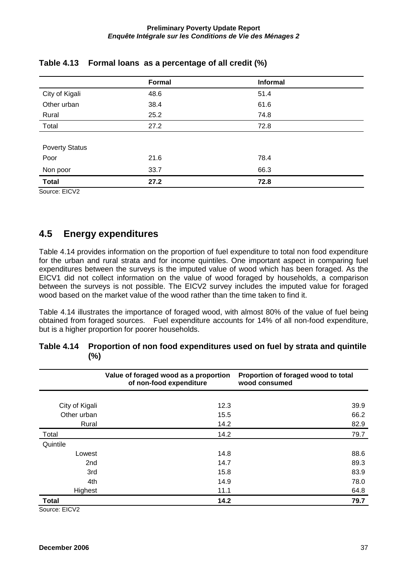|                       | <b>Formal</b> | <b>Informal</b> |
|-----------------------|---------------|-----------------|
| City of Kigali        | 48.6          | 51.4            |
| Other urban           | 38.4          | 61.6            |
| Rural                 | 25.2          | 74.8            |
| Total                 | 27.2          | 72.8            |
|                       |               |                 |
| <b>Poverty Status</b> |               |                 |
| Poor                  | 21.6          | 78.4            |
| Non poor              | 33.7          | 66.3            |
| <b>Total</b>          | 27.2          | 72.8            |

### **Table 4.13 Formal loans as a percentage of all credit (%)**

Source: EICV2

## **4.5 Energy expenditures**

Table 4.14 provides information on the proportion of fuel expenditure to total non food expenditure for the urban and rural strata and for income quintiles. One important aspect in comparing fuel expenditures between the surveys is the imputed value of wood which has been foraged. As the EICV1 did not collect information on the value of wood foraged by households, a comparison between the surveys is not possible. The EICV2 survey includes the imputed value for foraged wood based on the market value of the wood rather than the time taken to find it.

Table 4.14 illustrates the importance of foraged wood, with almost 80% of the value of fuel being obtained from foraged sources. Fuel expenditure accounts for 14% of all non-food expenditure, but is a higher proportion for poorer households.

|                 | Value of foraged wood as a proportion<br>of non-food expenditure | Proportion of foraged wood to total<br>wood consumed |
|-----------------|------------------------------------------------------------------|------------------------------------------------------|
|                 |                                                                  |                                                      |
| City of Kigali  | 12.3                                                             | 39.9                                                 |
| Other urban     | 15.5                                                             | 66.2                                                 |
| Rural           | 14.2                                                             | 82.9                                                 |
| Total           | 14.2                                                             | 79.7                                                 |
| Quintile        |                                                                  |                                                      |
| Lowest          | 14.8                                                             | 88.6                                                 |
| 2 <sub>nd</sub> | 14.7                                                             | 89.3                                                 |
| 3rd             | 15.8                                                             | 83.9                                                 |
| 4th             | 14.9                                                             | 78.0                                                 |
| Highest         | 11.1                                                             | 64.8                                                 |
| <b>Total</b>    | 14.2                                                             | 79.7                                                 |

### **Table 4.14 Proportion of non food expenditures used on fuel by strata and quintile (%)**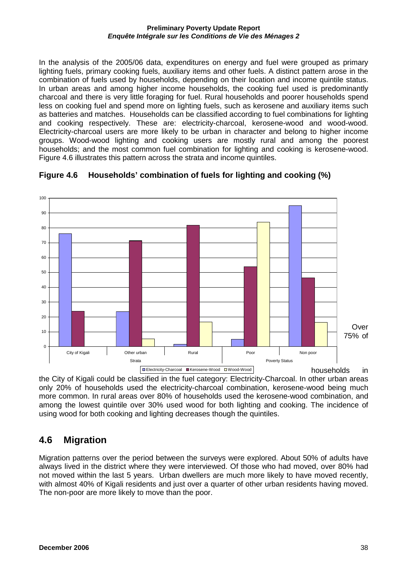In the analysis of the 2005/06 data, expenditures on energy and fuel were grouped as primary lighting fuels, primary cooking fuels, auxiliary items and other fuels. A distinct pattern arose in the combination of fuels used by households, depending on their location and income quintile status. In urban areas and among higher income households, the cooking fuel used is predominantly charcoal and there is very little foraging for fuel. Rural households and poorer households spend less on cooking fuel and spend more on lighting fuels, such as kerosene and auxiliary items such as batteries and matches. Households can be classified according to fuel combinations for lighting and cooking respectively. These are: electricity-charcoal, kerosene-wood and wood-wood. Electricity-charcoal users are more likely to be urban in character and belong to higher income groups. Wood-wood lighting and cooking users are mostly rural and among the poorest households; and the most common fuel combination for lighting and cooking is kerosene-wood. Figure 4.6 illustrates this pattern across the strata and income quintiles.



**Figure 4.6 Households' combination of fuels for lighting and cooking (%)** 

the City of Kigali could be classified in the fuel category: Electricity-Charcoal. In other urban areas only 20% of households used the electricity-charcoal combination, kerosene-wood being much more common. In rural areas over 80% of households used the kerosene-wood combination, and among the lowest quintile over 30% used wood for both lighting and cooking. The incidence of using wood for both cooking and lighting decreases though the quintiles.

# **4.6 Migration**

Migration patterns over the period between the surveys were explored. About 50% of adults have always lived in the district where they were interviewed. Of those who had moved, over 80% had not moved within the last 5 years. Urban dwellers are much more likely to have moved recently, with almost 40% of Kigali residents and just over a quarter of other urban residents having moved. The non-poor are more likely to move than the poor.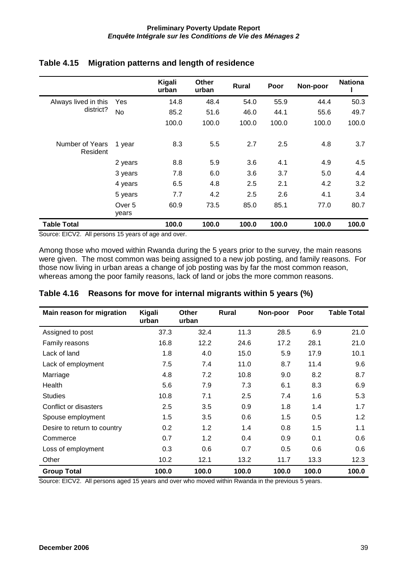|                             |                 | Kigali<br>urban | <b>Other</b><br>urban | <b>Rural</b> | Poor  | Non-poor | <b>Nationa</b> |
|-----------------------------|-----------------|-----------------|-----------------------|--------------|-------|----------|----------------|
| Always lived in this        | Yes             | 14.8            | 48.4                  | 54.0         | 55.9  | 44.4     | 50.3           |
| district?                   | <b>No</b>       | 85.2            | 51.6                  | 46.0         | 44.1  | 55.6     | 49.7           |
|                             |                 | 100.0           | 100.0                 | 100.0        | 100.0 | 100.0    | 100.0          |
| Number of Years<br>Resident | 1 year          | 8.3             | 5.5                   | 2.7          | 2.5   | 4.8      | 3.7            |
|                             | 2 years         | 8.8             | 5.9                   | 3.6          | 4.1   | 4.9      | 4.5            |
|                             | 3 years         | 7.8             | 6.0                   | 3.6          | 3.7   | 5.0      | 4.4            |
|                             | 4 years         | 6.5             | 4.8                   | 2.5          | 2.1   | 4.2      | 3.2            |
|                             | 5 years         | 7.7             | 4.2                   | 2.5          | 2.6   | 4.1      | 3.4            |
|                             | Over 5<br>years | 60.9            | 73.5                  | 85.0         | 85.1  | 77.0     | 80.7           |
| <b>Table Total</b>          |                 | 100.0           | 100.0                 | 100.0        | 100.0 | 100.0    | 100.0          |

#### **Table 4.15 Migration patterns and length of residence**

Source: EICV2. All persons 15 years of age and over.

Among those who moved within Rwanda during the 5 years prior to the survey, the main reasons were given. The most common was being assigned to a new job posting, and family reasons. For those now living in urban areas a change of job posting was by far the most common reason, whereas among the poor family reasons, lack of land or jobs the more common reasons.

| Main reason for migration   | Kigali<br>urban | <b>Other</b><br>urban | <b>Rural</b> | Non-poor | Poor  | <b>Table Total</b> |
|-----------------------------|-----------------|-----------------------|--------------|----------|-------|--------------------|
| Assigned to post            | 37.3            | 32.4                  | 11.3         | 28.5     | 6.9   | 21.0               |
| Family reasons              | 16.8            | 12.2                  | 24.6         | 17.2     | 28.1  | 21.0               |
| Lack of land                | 1.8             | 4.0                   | 15.0         | 5.9      | 17.9  | 10.1               |
| Lack of employment          | 7.5             | 7.4                   | 11.0         | 8.7      | 11.4  | 9.6                |
| Marriage                    | 4.8             | 7.2                   | 10.8         | 9.0      | 8.2   | 8.7                |
| Health                      | 5.6             | 7.9                   | 7.3          | 6.1      | 8.3   | 6.9                |
| <b>Studies</b>              | 10.8            | 7.1                   | 2.5          | 7.4      | 1.6   | 5.3                |
| Conflict or disasters       | 2.5             | 3.5                   | 0.9          | 1.8      | 1.4   | 1.7                |
| Spouse employment           | 1.5             | 3.5                   | 0.6          | 1.5      | 0.5   | 1.2                |
| Desire to return to country | 0.2             | 1.2                   | 1.4          | 0.8      | 1.5   | 1.1                |
| Commerce                    | 0.7             | 1.2                   | 0.4          | 0.9      | 0.1   | 0.6                |
| Loss of employment          | 0.3             | 0.6                   | 0.7          | 0.5      | 0.6   | 0.6                |
| Other                       | 10.2            | 12.1                  | 13.2         | 11.7     | 13.3  | 12.3               |
| <b>Group Total</b>          | 100.0           | 100.0                 | 100.0        | 100.0    | 100.0 | 100.0              |

### **Table 4.16 Reasons for move for internal migrants within 5 years (%)**

Source: EICV2. All persons aged 15 years and over who moved within Rwanda in the previous 5 years.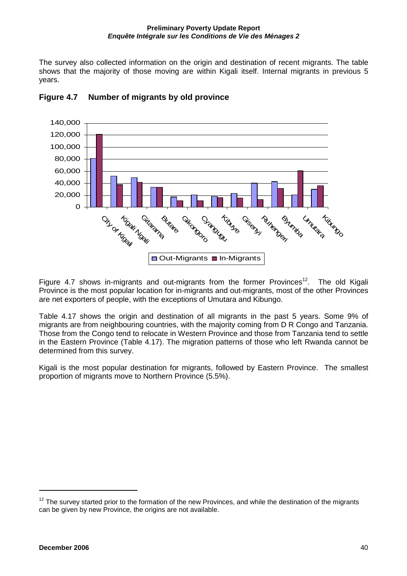The survey also collected information on the origin and destination of recent migrants. The table shows that the majority of those moving are within Kigali itself. Internal migrants in previous 5 years.



### **Figure 4.7 Number of migrants by old province**

Figure 4.7 shows in-migrants and out-migrants from the former Provinces<sup>12</sup>. The old Kigali Province is the most popular location for in-migrants and out-migrants, most of the other Provinces are net exporters of people, with the exceptions of Umutara and Kibungo.

Table 4.17 shows the origin and destination of all migrants in the past 5 years. Some 9% of migrants are from neighbouring countries, with the majority coming from D R Congo and Tanzania. Those from the Congo tend to relocate in Western Province and those from Tanzania tend to settle in the Eastern Province (Table 4.17). The migration patterns of those who left Rwanda cannot be determined from this survey.

Kigali is the most popular destination for migrants, followed by Eastern Province. The smallest proportion of migrants move to Northern Province (5.5%).

 $12$  The survev started prior to the formation of the new Provinces, and while the destination of the migrants can be given by new Province, the origins are not available.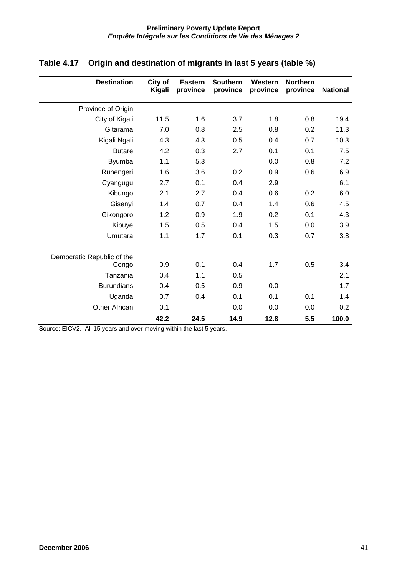| <b>Destination</b>                  | City of<br>Kigali | <b>Eastern</b><br>province | <b>Southern</b><br>province | Western<br>province | <b>Northern</b><br>province | <b>National</b> |
|-------------------------------------|-------------------|----------------------------|-----------------------------|---------------------|-----------------------------|-----------------|
| Province of Origin                  |                   |                            |                             |                     |                             |                 |
| City of Kigali                      | 11.5              | 1.6                        | 3.7                         | 1.8                 | 0.8                         | 19.4            |
| Gitarama                            | 7.0               | 0.8                        | 2.5                         | 0.8                 | 0.2                         | 11.3            |
| Kigali Ngali                        | 4.3               | 4.3                        | 0.5                         | 0.4                 | 0.7                         | 10.3            |
| <b>Butare</b>                       | 4.2               | 0.3                        | 2.7                         | 0.1                 | 0.1                         | 7.5             |
| <b>Byumba</b>                       | 1.1               | 5.3                        |                             | 0.0                 | 0.8                         | 7.2             |
| Ruhengeri                           | 1.6               | 3.6                        | 0.2                         | 0.9                 | 0.6                         | 6.9             |
| Cyangugu                            | 2.7               | 0.1                        | 0.4                         | 2.9                 |                             | 6.1             |
| Kibungo                             | 2.1               | 2.7                        | 0.4                         | 0.6                 | 0.2                         | 6.0             |
| Gisenyi                             | 1.4               | 0.7                        | 0.4                         | 1.4                 | 0.6                         | 4.5             |
| Gikongoro                           | 1.2               | 0.9                        | 1.9                         | 0.2                 | 0.1                         | 4.3             |
| Kibuye                              | 1.5               | 0.5                        | 0.4                         | 1.5                 | 0.0                         | 3.9             |
| Umutara                             | 1.1               | 1.7                        | 0.1                         | 0.3                 | 0.7                         | 3.8             |
| Democratic Republic of the<br>Congo | 0.9               | 0.1                        | 0.4                         | 1.7                 | 0.5                         | 3.4             |
| Tanzania                            | 0.4               | 1.1                        | 0.5                         |                     |                             | 2.1             |
| <b>Burundians</b>                   | 0.4               | 0.5                        | 0.9                         | 0.0                 |                             | 1.7             |
| Uganda                              | 0.7               | 0.4                        | 0.1                         | 0.1                 | 0.1                         | 1.4             |
| <b>Other African</b>                | 0.1               |                            | 0.0                         | 0.0                 | 0.0                         | 0.2             |
|                                     | 42.2              | 24.5                       | 14.9                        | 12.8                | 5.5                         | 100.0           |

### **Table 4.17 Origin and destination of migrants in last 5 years (table %)**

Source: EICV2. All 15 years and over moving within the last 5 years.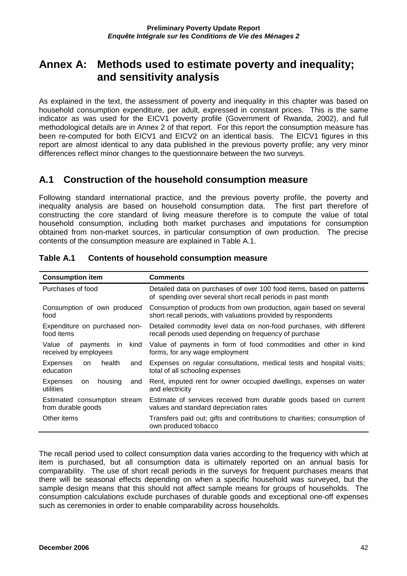# **Annex A: Methods used to estimate poverty and inequality; and sensitivity analysis**

As explained in the text, the assessment of poverty and inequality in this chapter was based on household consumption expenditure, per adult, expressed in constant prices. This is the same indicator as was used for the EICV1 poverty profile (Government of Rwanda, 2002), and full methodological details are in Annex 2 of that report. For this report the consumption measure has been re-computed for both EICV1 and EICV2 on an identical basis. The EICV1 figures in this report are almost identical to any data published in the previous poverty profile; any very minor differences reflect minor changes to the questionnaire between the two surveys.

### **A.1 Construction of the household consumption measure**

Following standard international practice, and the previous poverty profile, the poverty and inequality analysis are based on household consumption data. The first part therefore of constructing the core standard of living measure therefore is to compute the value of total household consumption, including both market purchases and imputations for consumption obtained from non-market sources, in particular consumption of own production. The precise contents of the consumption measure are explained in Table A.1.

| <b>Consumption item</b>                                      | <b>Comments</b>                                                                                                                      |
|--------------------------------------------------------------|--------------------------------------------------------------------------------------------------------------------------------------|
| Purchases of food                                            | Detailed data on purchases of over 100 food items, based on patterns<br>of spending over several short recall periods in past month  |
| Consumption of own produced<br>food                          | Consumption of products from own production, again based on several<br>short recall periods, with valuations provided by respondents |
| Expenditure on purchased non-<br>food items                  | Detailed commodity level data on non-food purchases, with different<br>recall periods used depending on frequency of purchase        |
| Value of<br>kind<br>payments<br>in.<br>received by employees | Value of payments in form of food commodities and other in kind<br>forms, for any wage employment                                    |
| <b>Expenses</b><br>health<br>and<br>on<br>education          | Expenses on regular consultations, medical tests and hospital visits;<br>total of all schooling expenses                             |
| Expenses<br>housing<br>and<br>on<br>utilities                | Rent, imputed rent for owner occupied dwellings, expenses on water<br>and electricity                                                |
| Estimated consumption stream<br>from durable goods           | Estimate of services received from durable goods based on current<br>values and standard depreciation rates                          |
| Other items                                                  | Transfers paid out; gifts and contributions to charities; consumption of<br>own produced tobacco                                     |

### **Table A.1 Contents of household consumption measure**

The recall period used to collect consumption data varies according to the frequency with which at item is purchased, but all consumption data is ultimately reported on an annual basis for comparability. The use of short recall periods in the surveys for frequent purchases means that there will be seasonal effects depending on when a specific household was surveyed, but the sample design means that this should not affect sample means for groups of households. The consumption calculations exclude purchases of durable goods and exceptional one-off expenses such as ceremonies in order to enable comparability across households.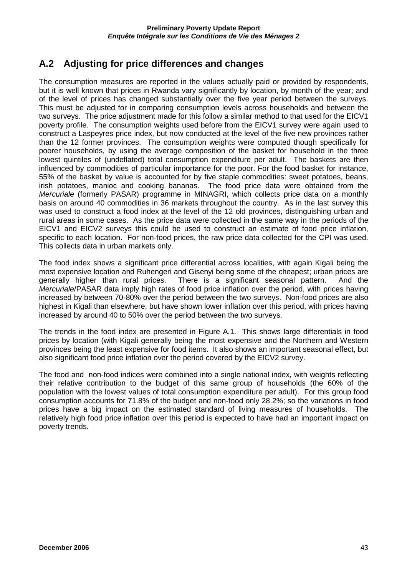## **A.2 Adjusting for price differences and changes**

The consumption measures are reported in the values actually paid or provided by respondents, but it is well known that prices in Rwanda vary significantly by location, by month of the year; and of the level of prices has changed substantially over the five year period between the surveys. This must be adjusted for in comparing consumption levels across households and between the two surveys. The price adjustment made for this follow a similar method to that used for the EICV1 poverty profile. The consumption weights used before from the EICV1 survey were again used to construct a Laspeyres price index, but now conducted at the level of the five new provinces rather than the 12 former provinces. The consumption weights were computed though specifically for poorer households, by using the average composition of the basket for household in the three lowest quintiles of (undeflated) total consumption expenditure per adult. The baskets are then influenced by commodities of particular importance for the poor. For the food basket for instance, 55% of the basket by value is accounted for by five staple commodities: sweet potatoes, beans, irish potatoes, manioc and cooking bananas. The food price data were obtained from the Mercuriale (formerly PASAR) programme in MINAGRI, which collects price data on a monthly basis on around 40 commodities in 36 markets throughout the country. As in the last survey this was used to construct a food index at the level of the 12 old provinces, distinguishing urban and rural areas in some cases. As the price data were collected in the same way in the periods of the EICV1 and EICV2 surveys this could be used to construct an estimate of food price inflation, specific to each location. For non-food prices, the raw price data collected for the CPI was used. This collects data in urban markets only.

The food index shows a significant price differential across localities, with again Kigali being the most expensive location and Ruhengeri and Gisenyi being some of the cheapest; urban prices are generally higher than rural prices. There is a significant seasonal pattern. And the Mercuriale/PASAR data imply high rates of food price inflation over the period, with prices having increased by between 70-80% over the period between the two surveys. Non-food prices are also highest in Kigali than elsewhere, but have shown lower inflation over this period, with prices having increased by around 40 to 50% over the period between the two surveys.

The trends in the food index are presented in Figure A.1. This shows large differentials in food prices by location (with Kigali generally being the most expensive and the Northern and Western provinces being the least expensive for food items. It also shows an important seasonal effect, but also significant food price inflation over the period covered by the EICV2 survey.

The food and non-food indices were combined into a single national index, with weights reflecting their relative contribution to the budget of this same group of households (the 60% of the population with the lowest values of total consumption expenditure per adult). For this group food consumption accounts for 71.8% of the budget and non-food only 28.2%; so the variations in food prices have a big impact on the estimated standard of living measures of households. The relatively high food price inflation over this period is expected to have had an important impact on poverty trends.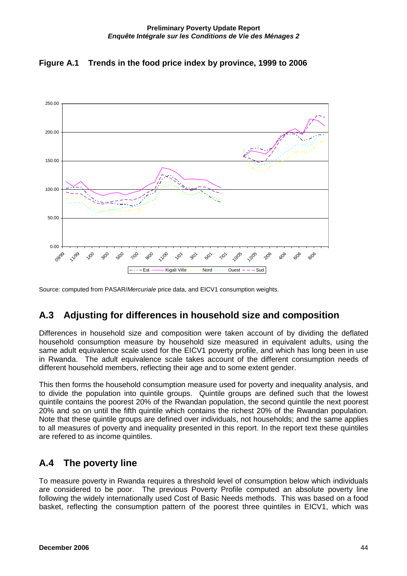



Source: computed from PASAR/Mercuriale price data, and EICV1 consumption weights.

# **A.3 Adjusting for differences in household size and composition**

Differences in household size and composition were taken account of by dividing the deflated household consumption measure by household size measured in equivalent adults, using the same adult equivalence scale used for the EICV1 poverty profile, and which has long been in use in Rwanda. The adult equivalence scale takes account of the different consumption needs of different household members, reflecting their age and to some extent gender.

This then forms the household consumption measure used for poverty and inequality analysis, and to divide the population into quintile groups. Quintile groups are defined such that the lowest quintile contains the poorest 20% of the Rwandan population, the second quintile the next poorest 20% and so on until the fifth quintile which contains the richest 20% of the Rwandan population. Note that these quintile groups are defined over individuals, not households; and the same applies to all measures of poverty and inequality presented in this report. In the report text these quintiles are refered to as income quintiles.

## **A.4 The poverty line**

To measure poverty in Rwanda requires a threshold level of consumption below which individuals are considered to be poor. The previous Poverty Profile computed an absolute poverty line following the widely internationally used Cost of Basic Needs methods. This was based on a food basket, reflecting the consumption pattern of the poorest three quintiles in EICV1, which was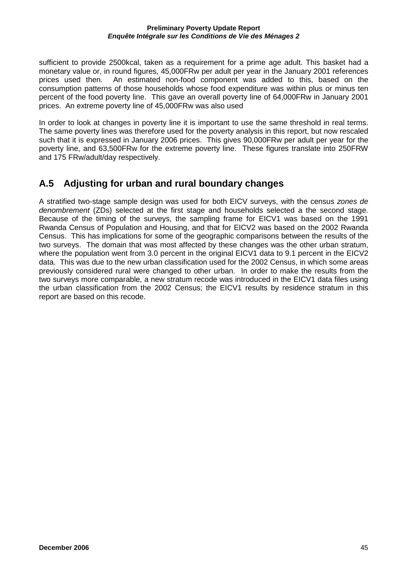sufficient to provide 2500kcal, taken as a requirement for a prime age adult. This basket had a monetary value or, in round figures, 45,000FRw per adult per year in the January 2001 references prices used then. An estimated non-food component was added to this, based on the consumption patterns of those households whose food expenditure was within plus or minus ten percent of the food poverty line. This gave an overall poverty line of 64,000FRw in January 2001 prices. An extreme poverty line of 45,000FRw was also used

In order to look at changes in poverty line it is important to use the same threshold in real terms. The same poverty lines was therefore used for the poverty analysis in this report, but now rescaled such that it is expressed in January 2006 prices. This gives 90,000FRw per adult per year for the poverty line, and 63,500FRw for the extreme poverty line. These figures translate into 250FRW and 175 FRw/adult/day respectively.

## **A.5 Adjusting for urban and rural boundary changes**

A stratified two-stage sample design was used for both EICV surveys, with the census zones de denombrement (ZDs) selected at the first stage and households selected a the second stage. Because of the timing of the surveys, the sampling frame for EICV1 was based on the 1991 Rwanda Census of Population and Housing, and that for EICV2 was based on the 2002 Rwanda Census. This has implications for some of the geographic comparisons between the results of the two surveys. The domain that was most affected by these changes was the other urban stratum, where the population went from 3.0 percent in the original EICV1 data to 9.1 percent in the EICV2 data. This was due to the new urban classification used for the 2002 Census, in which some areas previously considered rural were changed to other urban. In order to make the results from the two surveys more comparable, a new stratum recode was introduced in the EICV1 data files using the urban classification from the 2002 Census; the EICV1 results by residence stratum in this report are based on this recode.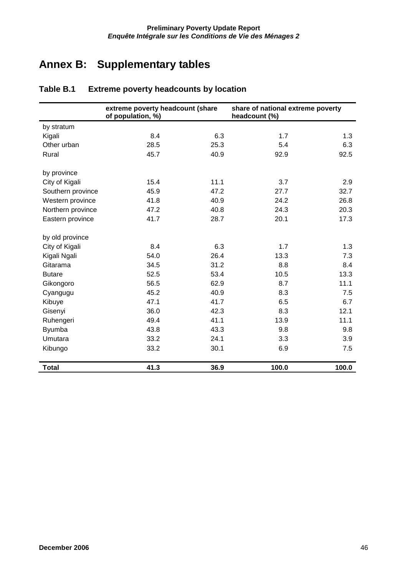# **Annex B: Supplementary tables**

|                   | extreme poverty headcount (share<br>of population, %) |      | share of national extreme poverty<br>headcount (%) |       |
|-------------------|-------------------------------------------------------|------|----------------------------------------------------|-------|
| by stratum        |                                                       |      |                                                    |       |
| Kigali            | 8.4                                                   | 6.3  | 1.7                                                | 1.3   |
| Other urban       | 28.5                                                  | 25.3 | 5.4                                                | 6.3   |
| Rural             | 45.7                                                  | 40.9 | 92.9                                               | 92.5  |
| by province       |                                                       |      |                                                    |       |
| City of Kigali    | 15.4                                                  | 11.1 | 3.7                                                | 2.9   |
| Southern province | 45.9                                                  | 47.2 | 27.7                                               | 32.7  |
| Western province  | 41.8                                                  | 40.9 | 24.2                                               | 26.8  |
| Northern province | 47.2                                                  | 40.8 | 24.3                                               | 20.3  |
| Eastern province  | 41.7                                                  | 28.7 | 20.1                                               | 17.3  |
| by old province   |                                                       |      |                                                    |       |
| City of Kigali    | 8.4                                                   | 6.3  | 1.7                                                | 1.3   |
| Kigali Ngali      | 54.0                                                  | 26.4 | 13.3                                               | 7.3   |
| Gitarama          | 34.5                                                  | 31.2 | 8.8                                                | 8.4   |
| <b>Butare</b>     | 52.5                                                  | 53.4 | 10.5                                               | 13.3  |
| Gikongoro         | 56.5                                                  | 62.9 | 8.7                                                | 11.1  |
| Cyangugu          | 45.2                                                  | 40.9 | 8.3                                                | 7.5   |
| Kibuye            | 47.1                                                  | 41.7 | 6.5                                                | 6.7   |
| Gisenyi           | 36.0                                                  | 42.3 | 8.3                                                | 12.1  |
| Ruhengeri         | 49.4                                                  | 41.1 | 13.9                                               | 11.1  |
| <b>Byumba</b>     | 43.8                                                  | 43.3 | 9.8                                                | 9.8   |
| Umutara           | 33.2                                                  | 24.1 | 3.3                                                | 3.9   |
| Kibungo           | 33.2                                                  | 30.1 | 6.9                                                | 7.5   |
| <b>Total</b>      | 41.3                                                  | 36.9 | 100.0                                              | 100.0 |

### **Table B.1 Extreme poverty headcounts by location**